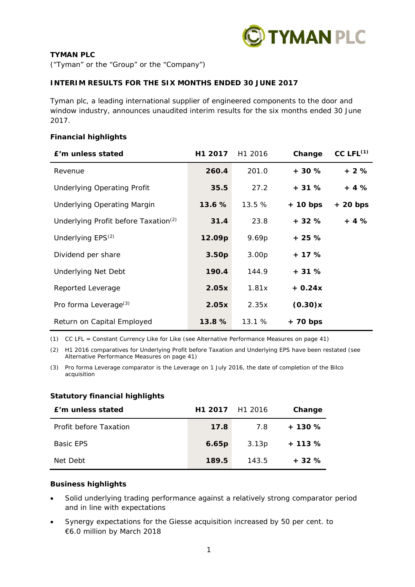

# **TYMAN PLC**

("Tyman" or the "Group" or the "Company")

# **INTERIM RESULTS FOR THE SIX MONTHS ENDED 30 JUNE 2017**

Tyman plc, a leading international supplier of engineered components to the door and window industry, announces unaudited interim results for the six months ended 30 June 2017.

## **Financial highlights**

| £'m unless stated                                | H1 2017           | H1 2016           | Change     | $CC$ LFL $^{(1)}$ |
|--------------------------------------------------|-------------------|-------------------|------------|-------------------|
| Revenue                                          | 260.4             | 201.0             | $+30%$     | + 2 %             |
| <b>Underlying Operating Profit</b>               | 35.5              | 27.2              | $+31%$     | $+4%$             |
| <b>Underlying Operating Margin</b>               | 13.6%             | 13.5%             | $+10$ bps  | $+20$ bps         |
| Underlying Profit before Taxation <sup>(2)</sup> | 31.4              | 23.8              | $+32%$     | $+4%$             |
| Underlying EPS <sup>(2)</sup>                    | 12.09p            | 9.69p             | $+25%$     |                   |
| Dividend per share                               | 3.50 <sub>p</sub> | 3.00 <sub>p</sub> | $+17%$     |                   |
| <b>Underlying Net Debt</b>                       | 190.4             | 144.9             | $+31%$     |                   |
| Reported Leverage                                | 2.05x             | 1.81x             | $+0.24x$   |                   |
| Pro forma Leverage <sup>(3)</sup>                | 2.05x             | 2.35x             | (0.30)x    |                   |
| Return on Capital Employed                       | 13.8 %            | 13.1%             | $+ 70$ bps |                   |

*(1) CC LFL = Constant Currency Like for Like (see Alternative Performance Measures on page 41)* 

*(2) H1 2016 comparatives for Underlying Profit before Taxation and Underlying EPS have been restated (see Alternative Performance Measures on page 41)* 

*(3) Pro forma Leverage comparator is the Leverage on 1 July 2016, the date of completion of the Bilco acquisition* 

## **Statutory financial highlights**

| f'm unless stated      | H1 2017 H1 2016 |       | Change  |
|------------------------|-----------------|-------|---------|
| Profit before Taxation | 17.8            | 7.8   | $+130%$ |
| <b>Basic FPS</b>       | 6.65p           | 3.13p | $+113%$ |
| Net Debt               | 189.5           | 143.5 | $+32%$  |

# **Business highlights**

- Solid underlying trading performance against a relatively strong comparator period and in line with expectations
- Synergy expectations for the Giesse acquisition increased by 50 per cent. to €6.0 million by March 2018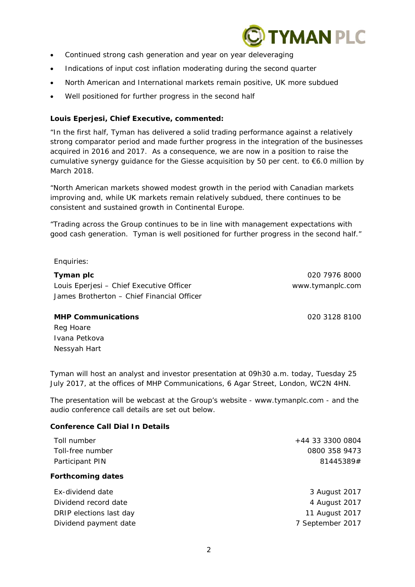

- Continued strong cash generation and year on year deleveraging
- Indications of input cost inflation moderating during the second quarter
- North American and International markets remain positive, UK more subdued
- Well positioned for further progress in the second half

## **Louis Eperjesi, Chief Executive, commented:**

*"In the first half, Tyman has delivered a solid trading performance against a relatively strong comparator period and made further progress in the integration of the businesses acquired in 2016 and 2017. As a consequence, we are now in a position to raise the cumulative synergy guidance for the Giesse acquisition by 50 per cent. to €6.0 million by March 2018.* 

*"North American markets showed modest growth in the period with Canadian markets improving and, while UK markets remain relatively subdued, there continues to be consistent and sustained growth in Continental Europe.* 

*"Trading across the Group continues to be in line with management expectations with good cash generation. Tyman is well positioned for further progress in the second half."* 

Enquiries:

# **Tyman plc** 020 7976 8000 Louis Eperjesi – Chief Executive Officer www.tymanplc.com James Brotherton – Chief Financial Officer

## **MHP Communications** 020 3128 8100

Reg Hoare Ivana Petkova Nessyah Hart

Tyman will host an analyst and investor presentation at 09h30 a.m. today, Tuesday 25 July 2017, at the offices of MHP Communications, 6 Agar Street, London, WC2N 4HN.

The presentation will be webcast at the Group's website - www.tymanplc.com - and the audio conference call details are set out below.

# **Conference Call Dial In Details**

| Toll number              | +44 33 3300 0804 |
|--------------------------|------------------|
| Toll-free number         | 0800 358 9473    |
| Participant PIN          | 81445389#        |
| <b>Forthcoming dates</b> |                  |
| Ex-dividend date         | 3 August 2017    |

Dividend record date 4 August 2017 DRIP elections last day 11 August 2017 Dividend payment date **7** September 2017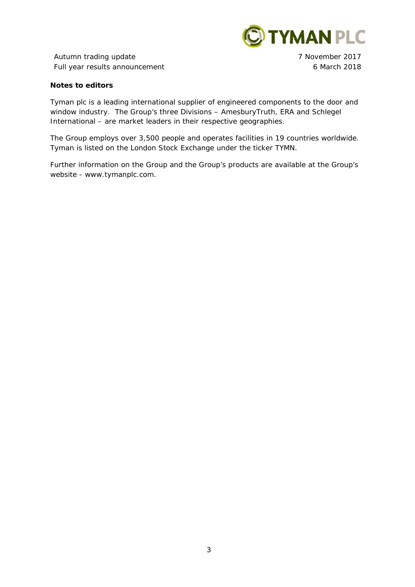

Autumn trading update **7** November 2017 Full year results announcement 6 March 2018

## **Notes to editors**

Tyman plc is a leading international supplier of engineered components to the door and window industry. The Group's three Divisions – AmesburyTruth, ERA and Schlegel International – are market leaders in their respective geographies.

The Group employs over 3,500 people and operates facilities in 19 countries worldwide. Tyman is listed on the London Stock Exchange under the ticker TYMN.

Further information on the Group and the Group's products are available at the Group's website - www.tymanplc.com.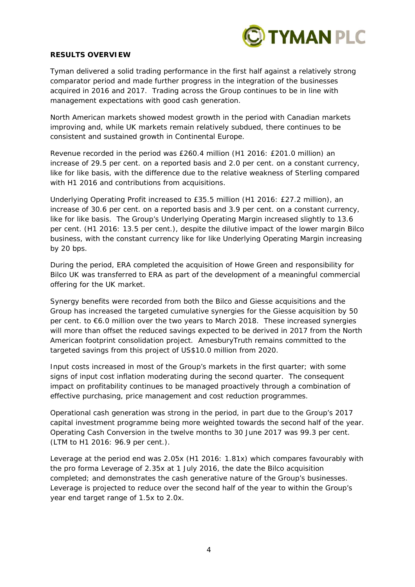

## **RESULTS OVERVIEW**

Tyman delivered a solid trading performance in the first half against a relatively strong comparator period and made further progress in the integration of the businesses acquired in 2016 and 2017. Trading across the Group continues to be in line with management expectations with good cash generation.

North American markets showed modest growth in the period with Canadian markets improving and, while UK markets remain relatively subdued, there continues to be consistent and sustained growth in Continental Europe.

Revenue recorded in the period was £260.4 million (H1 2016: £201.0 million) an increase of 29.5 per cent. on a reported basis and 2.0 per cent. on a constant currency, like for like basis, with the difference due to the relative weakness of Sterling compared with H1 2016 and contributions from acquisitions.

Underlying Operating Profit increased to £35.5 million (H1 2016: £27.2 million), an increase of 30.6 per cent. on a reported basis and 3.9 per cent. on a constant currency, like for like basis. The Group's Underlying Operating Margin increased slightly to 13.6 per cent. (H1 2016: 13.5 per cent.), despite the dilutive impact of the lower margin Bilco business, with the constant currency like for like Underlying Operating Margin increasing by 20 bps.

During the period, ERA completed the acquisition of Howe Green and responsibility for Bilco UK was transferred to ERA as part of the development of a meaningful commercial offering for the UK market.

Synergy benefits were recorded from both the Bilco and Giesse acquisitions and the Group has increased the targeted cumulative synergies for the Giesse acquisition by 50 per cent. to €6.0 million over the two years to March 2018. These increased synergies will more than offset the reduced savings expected to be derived in 2017 from the North American footprint consolidation project. AmesburyTruth remains committed to the targeted savings from this project of US\$10.0 million from 2020.

Input costs increased in most of the Group's markets in the first quarter; with some signs of input cost inflation moderating during the second quarter. The consequent impact on profitability continues to be managed proactively through a combination of effective purchasing, price management and cost reduction programmes.

Operational cash generation was strong in the period, in part due to the Group's 2017 capital investment programme being more weighted towards the second half of the year. Operating Cash Conversion in the twelve months to 30 June 2017 was 99.3 per cent. (LTM to H1 2016: 96.9 per cent.).

Leverage at the period end was 2.05x (H1 2016: 1.81x) which compares favourably with the pro forma Leverage of 2.35x at 1 July 2016, the date the Bilco acquisition completed; and demonstrates the cash generative nature of the Group's businesses. Leverage is projected to reduce over the second half of the year to within the Group's year end target range of 1.5x to 2.0x.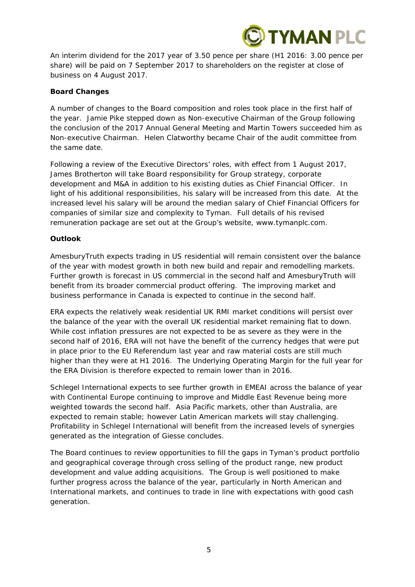

An interim dividend for the 2017 year of 3.50 pence per share (H1 2016: 3.00 pence per share) will be paid on 7 September 2017 to shareholders on the register at close of business on 4 August 2017.

## **Board Changes**

A number of changes to the Board composition and roles took place in the first half of the year. Jamie Pike stepped down as Non-executive Chairman of the Group following the conclusion of the 2017 Annual General Meeting and Martin Towers succeeded him as Non-executive Chairman. Helen Clatworthy became Chair of the audit committee from the same date.

Following a review of the Executive Directors' roles, with effect from 1 August 2017, James Brotherton will take Board responsibility for Group strategy, corporate development and M&A in addition to his existing duties as Chief Financial Officer. In light of his additional responsibilities, his salary will be increased from this date. At the increased level his salary will be around the median salary of Chief Financial Officers for companies of similar size and complexity to Tyman. Full details of his revised remuneration package are set out at the Group's website, www.tymanplc.com.

## **Outlook**

AmesburyTruth expects trading in US residential will remain consistent over the balance of the year with modest growth in both new build and repair and remodelling markets. Further growth is forecast in US commercial in the second half and AmesburyTruth will benefit from its broader commercial product offering. The improving market and business performance in Canada is expected to continue in the second half.

ERA expects the relatively weak residential UK RMI market conditions will persist over the balance of the year with the overall UK residential market remaining flat to down. While cost inflation pressures are not expected to be as severe as they were in the second half of 2016, ERA will not have the benefit of the currency hedges that were put in place prior to the EU Referendum last year and raw material costs are still much higher than they were at H1 2016. The Underlying Operating Margin for the full year for the ERA Division is therefore expected to remain lower than in 2016.

Schlegel International expects to see further growth in EMEAI across the balance of year with Continental Europe continuing to improve and Middle East Revenue being more weighted towards the second half. Asia Pacific markets, other than Australia, are expected to remain stable; however Latin American markets will stay challenging. Profitability in Schlegel International will benefit from the increased levels of synergies generated as the integration of Giesse concludes.

The Board continues to review opportunities to fill the gaps in Tyman's product portfolio and geographical coverage through cross selling of the product range, new product development and value adding acquisitions. The Group is well positioned to make further progress across the balance of the year, particularly in North American and International markets, and continues to trade in line with expectations with good cash generation.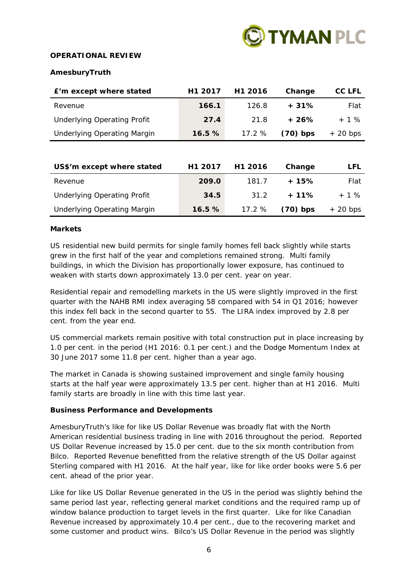

# **OPERATIONAL REVIEW**

## **AmesburyTruth**

| E'm except where stated            | H1 2017 | H1 2016 | Change     | CC LFL     |
|------------------------------------|---------|---------|------------|------------|
| Revenue                            | 166.1   | 126.8   | $+31%$     | Flat       |
| <b>Underlying Operating Profit</b> | 27.4    | 21.8    | $+26%$     | $+ 1 \%$   |
| <b>Underlying Operating Margin</b> | 16.5%   | 17.2%   | $(70)$ bps | $+$ 20 bps |
|                                    |         |         |            |            |
| US\$'m except where stated         | H1 2017 | H1 2016 | Change     | <b>LFL</b> |
| Revenue                            | 209.0   | 181.7   | $+15%$     | Flat       |
| <b>Underlying Operating Profit</b> | 34.5    | 31.2    | $+11%$     | $+ 1 \%$   |
| <b>Underlying Operating Margin</b> | 16.5%   | 17.2%   | $(70)$ bps | $+$ 20 bps |

## **Markets**

US residential new build permits for single family homes fell back slightly while starts grew in the first half of the year and completions remained strong. Multi family buildings, in which the Division has proportionally lower exposure, has continued to weaken with starts down approximately 13.0 per cent. year on year.

Residential repair and remodelling markets in the US were slightly improved in the first quarter with the NAHB RMI index averaging 58 compared with 54 in Q1 2016; however this index fell back in the second quarter to 55. The LIRA index improved by 2.8 per cent. from the year end.

US commercial markets remain positive with total construction put in place increasing by 1.0 per cent. in the period (H1 2016: 0.1 per cent.) and the Dodge Momentum Index at 30 June 2017 some 11.8 per cent. higher than a year ago.

The market in Canada is showing sustained improvement and single family housing starts at the half year were approximately 13.5 per cent. higher than at H1 2016. Multi family starts are broadly in line with this time last year.

## **Business Performance and Developments**

AmesburyTruth's like for like US Dollar Revenue was broadly flat with the North American residential business trading in line with 2016 throughout the period. Reported US Dollar Revenue increased by 15.0 per cent. due to the six month contribution from Bilco. Reported Revenue benefitted from the relative strength of the US Dollar against Sterling compared with H1 2016. At the half year, like for like order books were 5.6 per cent. ahead of the prior year.

Like for like US Dollar Revenue generated in the US in the period was slightly behind the same period last year, reflecting general market conditions and the required ramp up of window balance production to target levels in the first quarter. Like for like Canadian Revenue increased by approximately 10.4 per cent., due to the recovering market and some customer and product wins. Bilco's US Dollar Revenue in the period was slightly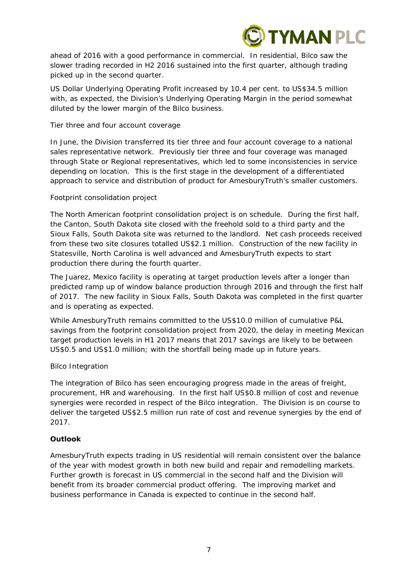

ahead of 2016 with a good performance in commercial. In residential, Bilco saw the slower trading recorded in H2 2016 sustained into the first quarter, although trading picked up in the second quarter.

US Dollar Underlying Operating Profit increased by 10.4 per cent. to US\$34.5 million with, as expected, the Division's Underlying Operating Margin in the period somewhat diluted by the lower margin of the Bilco business.

## *Tier three and four account coverage*

In June, the Division transferred its tier three and four account coverage to a national sales representative network. Previously tier three and four coverage was managed through State or Regional representatives, which led to some inconsistencies in service depending on location. This is the first stage in the development of a differentiated approach to service and distribution of product for AmesburyTruth's smaller customers.

## *Footprint consolidation project*

The North American footprint consolidation project is on schedule. During the first half, the Canton, South Dakota site closed with the freehold sold to a third party and the Sioux Falls, South Dakota site was returned to the landlord. Net cash proceeds received from these two site closures totalled US\$2.1 million. Construction of the new facility in Statesville, North Carolina is well advanced and AmesburyTruth expects to start production there during the fourth quarter.

The Juarez, Mexico facility is operating at target production levels after a longer than predicted ramp up of window balance production through 2016 and through the first half of 2017. The new facility in Sioux Falls, South Dakota was completed in the first quarter and is operating as expected.

While AmesburyTruth remains committed to the US\$10.0 million of cumulative P&L savings from the footprint consolidation project from 2020, the delay in meeting Mexican target production levels in H1 2017 means that 2017 savings are likely to be between US\$0.5 and US\$1.0 million; with the shortfall being made up in future years.

# *Bilco Integration*

The integration of Bilco has seen encouraging progress made in the areas of freight, procurement, HR and warehousing. In the first half US\$0.8 million of cost and revenue synergies were recorded in respect of the Bilco integration. The Division is on course to deliver the targeted US\$2.5 million run rate of cost and revenue synergies by the end of 2017.

# **Outlook**

AmesburyTruth expects trading in US residential will remain consistent over the balance of the year with modest growth in both new build and repair and remodelling markets. Further growth is forecast in US commercial in the second half and the Division will benefit from its broader commercial product offering. The improving market and business performance in Canada is expected to continue in the second half.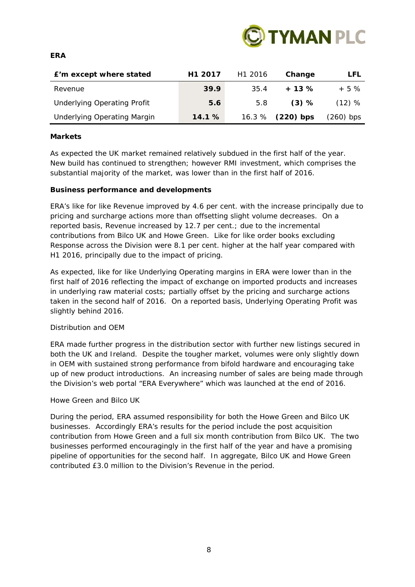

## **ERA**

| E'm except where stated            | H <sub>1</sub> 2017 | H <sub>1</sub> 2016 | Change    | LFL       |
|------------------------------------|---------------------|---------------------|-----------|-----------|
| Revenue                            | 39.9                | 35.4                | $+13%$    | $+5%$     |
| <b>Underlying Operating Profit</b> | 5.6                 | 5.8                 | (3) %     | $(12)$ %  |
| <b>Underlying Operating Margin</b> | 14.1%               | 16.3%               | (220) bps | (260) bps |

# **Markets**

As expected the UK market remained relatively subdued in the first half of the year. New build has continued to strengthen; however RMI investment, which comprises the substantial majority of the market, was lower than in the first half of 2016.

## **Business performance and developments**

ERA's like for like Revenue improved by 4.6 per cent. with the increase principally due to pricing and surcharge actions more than offsetting slight volume decreases. On a reported basis, Revenue increased by 12.7 per cent.; due to the incremental contributions from Bilco UK and Howe Green. Like for like order books excluding Response across the Division were 8.1 per cent. higher at the half year compared with H1 2016, principally due to the impact of pricing.

As expected, like for like Underlying Operating margins in ERA were lower than in the first half of 2016 reflecting the impact of exchange on imported products and increases in underlying raw material costs; partially offset by the pricing and surcharge actions taken in the second half of 2016. On a reported basis, Underlying Operating Profit was slightly behind 2016.

# *Distribution and OEM*

ERA made further progress in the distribution sector with further new listings secured in both the UK and Ireland. Despite the tougher market, volumes were only slightly down in OEM with sustained strong performance from bifold hardware and encouraging take up of new product introductions. An increasing number of sales are being made through the Division's web portal "ERA Everywhere" which was launched at the end of 2016.

## *Howe Green and Bilco UK*

During the period, ERA assumed responsibility for both the Howe Green and Bilco UK businesses. Accordingly ERA's results for the period include the post acquisition contribution from Howe Green and a full six month contribution from Bilco UK. The two businesses performed encouragingly in the first half of the year and have a promising pipeline of opportunities for the second half. In aggregate, Bilco UK and Howe Green contributed £3.0 million to the Division's Revenue in the period.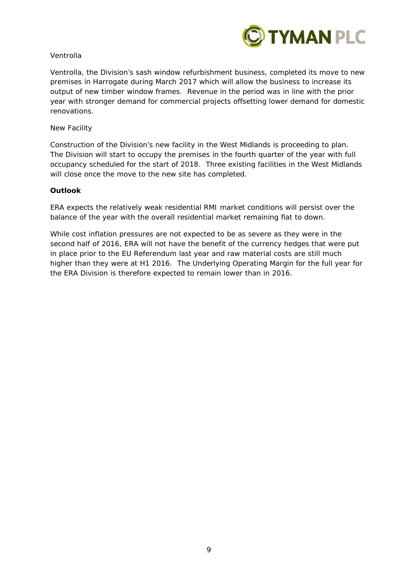

# *Ventrolla*

Ventrolla, the Division's sash window refurbishment business, completed its move to new premises in Harrogate during March 2017 which will allow the business to increase its output of new timber window frames. Revenue in the period was in line with the prior year with stronger demand for commercial projects offsetting lower demand for domestic renovations.

# *New Facility*

Construction of the Division's new facility in the West Midlands is proceeding to plan. The Division will start to occupy the premises in the fourth quarter of the year with full occupancy scheduled for the start of 2018. Three existing facilities in the West Midlands will close once the move to the new site has completed.

# **Outlook**

ERA expects the relatively weak residential RMI market conditions will persist over the balance of the year with the overall residential market remaining flat to down.

While cost inflation pressures are not expected to be as severe as they were in the second half of 2016, ERA will not have the benefit of the currency hedges that were put in place prior to the EU Referendum last year and raw material costs are still much higher than they were at H1 2016. The Underlying Operating Margin for the full year for the ERA Division is therefore expected to remain lower than in 2016.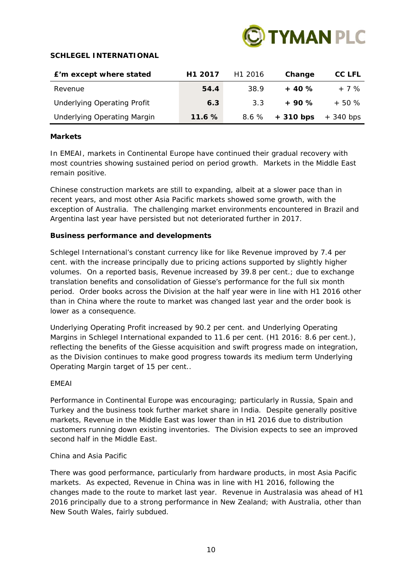

## **SCHLEGEL INTERNATIONAL**

| E'm except where stated            | H <sub>1</sub> 2017 | H <sub>1</sub> 2016 | Change     | CC LFL    |
|------------------------------------|---------------------|---------------------|------------|-----------|
| Revenue                            | 54.4                | 38.9                | $+40%$     | $+7%$     |
| <b>Underlying Operating Profit</b> | 6.3                 | 3.3                 | $+90%$     | $+50%$    |
| <b>Underlying Operating Margin</b> | 11.6%               | 8.6 %               | $+310$ bps | + 340 bps |

## **Markets**

In EMEAI, markets in Continental Europe have continued their gradual recovery with most countries showing sustained period on period growth. Markets in the Middle East remain positive.

Chinese construction markets are still to expanding, albeit at a slower pace than in recent years, and most other Asia Pacific markets showed some growth, with the exception of Australia. The challenging market environments encountered in Brazil and Argentina last year have persisted but not deteriorated further in 2017.

## **Business performance and developments**

Schlegel International's constant currency like for like Revenue improved by 7.4 per cent. with the increase principally due to pricing actions supported by slightly higher volumes. On a reported basis, Revenue increased by 39.8 per cent.; due to exchange translation benefits and consolidation of Giesse's performance for the full six month period. Order books across the Division at the half year were in line with H1 2016 other than in China where the route to market was changed last year and the order book is lower as a consequence.

Underlying Operating Profit increased by 90.2 per cent. and Underlying Operating Margins in Schlegel International expanded to 11.6 per cent. (H1 2016: 8.6 per cent.), reflecting the benefits of the Giesse acquisition and swift progress made on integration, as the Division continues to make good progress towards its medium term Underlying Operating Margin target of 15 per cent..

# *EMEAI*

Performance in Continental Europe was encouraging; particularly in Russia, Spain and Turkey and the business took further market share in India. Despite generally positive markets, Revenue in the Middle East was lower than in H1 2016 due to distribution customers running down existing inventories. The Division expects to see an improved second half in the Middle East.

## *China and Asia Pacific*

There was good performance, particularly from hardware products, in most Asia Pacific markets. As expected, Revenue in China was in line with H1 2016, following the changes made to the route to market last year. Revenue in Australasia was ahead of H1 2016 principally due to a strong performance in New Zealand; with Australia, other than New South Wales, fairly subdued.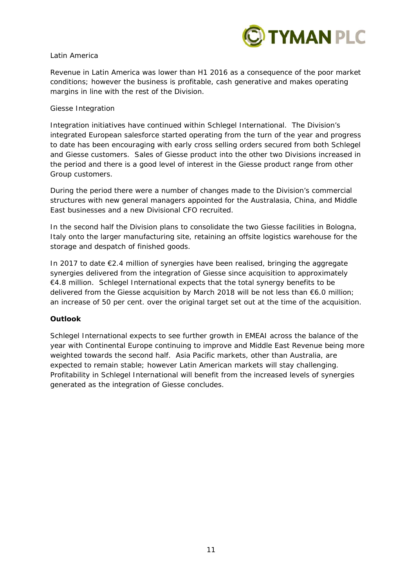

# *Latin America*

Revenue in Latin America was lower than H1 2016 as a consequence of the poor market conditions; however the business is profitable, cash generative and makes operating margins in line with the rest of the Division.

## *Giesse Integration*

Integration initiatives have continued within Schlegel International. The Division's integrated European salesforce started operating from the turn of the year and progress to date has been encouraging with early cross selling orders secured from both Schlegel and Giesse customers. Sales of Giesse product into the other two Divisions increased in the period and there is a good level of interest in the Giesse product range from other Group customers.

During the period there were a number of changes made to the Division's commercial structures with new general managers appointed for the Australasia, China, and Middle East businesses and a new Divisional CFO recruited.

In the second half the Division plans to consolidate the two Giesse facilities in Bologna, Italy onto the larger manufacturing site, retaining an offsite logistics warehouse for the storage and despatch of finished goods.

In 2017 to date €2.4 million of synergies have been realised, bringing the aggregate synergies delivered from the integration of Giesse since acquisition to approximately €4.8 million. Schlegel International expects that the total synergy benefits to be delivered from the Giesse acquisition by March 2018 will be not less than €6.0 million; an increase of 50 per cent. over the original target set out at the time of the acquisition.

# **Outlook**

Schlegel International expects to see further growth in EMEAI across the balance of the year with Continental Europe continuing to improve and Middle East Revenue being more weighted towards the second half. Asia Pacific markets, other than Australia, are expected to remain stable; however Latin American markets will stay challenging. Profitability in Schlegel International will benefit from the increased levels of synergies generated as the integration of Giesse concludes.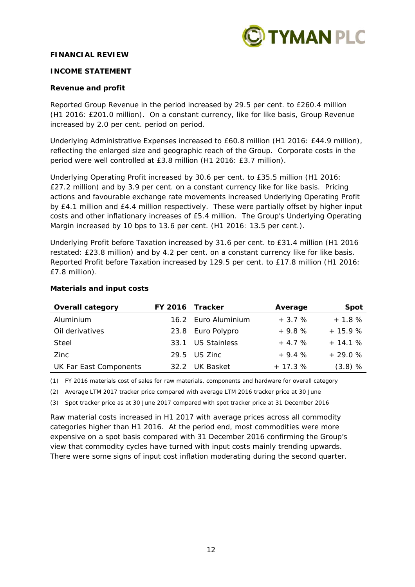

## **FINANCIAL REVIEW**

## **INCOME STATEMENT**

## **Revenue and profit**

Reported Group Revenue in the period increased by 29.5 per cent. to £260.4 million (H1 2016: £201.0 million). On a constant currency, like for like basis, Group Revenue increased by 2.0 per cent. period on period.

Underlying Administrative Expenses increased to £60.8 million (H1 2016: £44.9 million), reflecting the enlarged size and geographic reach of the Group. Corporate costs in the period were well controlled at £3.8 million (H1 2016: £3.7 million).

Underlying Operating Profit increased by 30.6 per cent. to £35.5 million (H1 2016: £27.2 million) and by 3.9 per cent. on a constant currency like for like basis. Pricing actions and favourable exchange rate movements increased Underlying Operating Profit by £4.1 million and £4.4 million respectively. These were partially offset by higher input costs and other inflationary increases of £5.4 million. The Group's Underlying Operating Margin increased by 10 bps to 13.6 per cent. (H1 2016: 13.5 per cent.).

Underlying Profit before Taxation increased by 31.6 per cent. to £31.4 million (H1 2016 restated: £23.8 million) and by 4.2 per cent. on a constant currency like for like basis. Reported Profit before Taxation increased by 129.5 per cent. to £17.8 million (H1 2016: £7.8 million).

| <b>Overall category</b> | FY 2016 Tracker |                     | Average  | <b>Spot</b> |
|-------------------------|-----------------|---------------------|----------|-------------|
| Aluminium               |                 | 16.2 Euro Aluminium | $+3.7%$  | $+1.8%$     |
| Oil derivatives         |                 | 23.8 Euro Polypro   | $+9.8%$  | $+15.9%$    |
| Steel                   |                 | 33.1 US Stainless   | $+4.7%$  | $+14.1%$    |
| <b>Zinc</b>             |                 | $29.5$ US Zinc      | $+9.4%$  | $+29.0%$    |
| UK Far East Components  | 32.2            | UK Basket           | $+17.3%$ | $(3.8)$ %   |

## **Materials and input costs**

*(1) FY 2016 materials cost of sales for raw materials, components and hardware for overall category* 

*(2) Average LTM 2017 tracker price compared with average LTM 2016 tracker price at 30 June* 

*(3) Spot tracker price as at 30 June 2017 compared with spot tracker price at 31 December 2016* 

Raw material costs increased in H1 2017 with average prices across all commodity categories higher than H1 2016. At the period end, most commodities were more expensive on a spot basis compared with 31 December 2016 confirming the Group's view that commodity cycles have turned with input costs mainly trending upwards. There were some signs of input cost inflation moderating during the second quarter.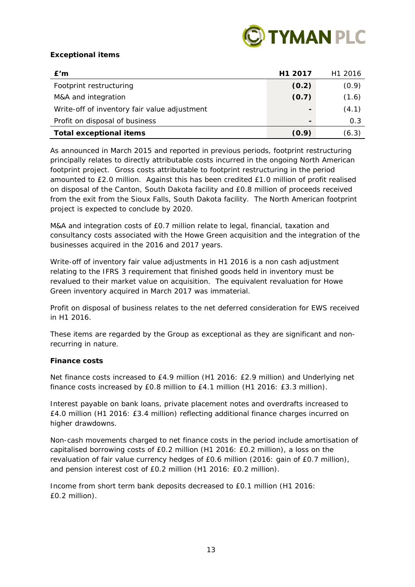

# **Exceptional items**

| E'm                                          | H <sub>1</sub> 2017 | H <sub>1</sub> 2016 |
|----------------------------------------------|---------------------|---------------------|
| Footprint restructuring                      | (0.2)               | (0.9)               |
| M&A and integration                          | (0.7)               | (1.6)               |
| Write-off of inventory fair value adjustment |                     | (4.1)               |
| Profit on disposal of business               | $\blacksquare$      | 0.3                 |
| <b>Total exceptional items</b>               | (0.9)               | (6.3)               |

As announced in March 2015 and reported in previous periods, footprint restructuring principally relates to directly attributable costs incurred in the ongoing North American footprint project. Gross costs attributable to footprint restructuring in the period amounted to £2.0 million. Against this has been credited £1.0 million of profit realised on disposal of the Canton, South Dakota facility and £0.8 million of proceeds received from the exit from the Sioux Falls, South Dakota facility. The North American footprint project is expected to conclude by 2020.

M&A and integration costs of £0.7 million relate to legal, financial, taxation and consultancy costs associated with the Howe Green acquisition and the integration of the businesses acquired in the 2016 and 2017 years.

Write-off of inventory fair value adjustments in H1 2016 is a non cash adjustment relating to the IFRS 3 requirement that finished goods held in inventory must be revalued to their market value on acquisition. The equivalent revaluation for Howe Green inventory acquired in March 2017 was immaterial.

Profit on disposal of business relates to the net deferred consideration for EWS received in H1 2016.

These items are regarded by the Group as exceptional as they are significant and nonrecurring in nature.

# **Finance costs**

Net finance costs increased to £4.9 million (H1 2016: £2.9 million) and Underlying net finance costs increased by £0.8 million to £4.1 million (H1 2016: £3.3 million).

Interest payable on bank loans, private placement notes and overdrafts increased to £4.0 million (H1 2016: £3.4 million) reflecting additional finance charges incurred on higher drawdowns.

Non-cash movements charged to net finance costs in the period include amortisation of capitalised borrowing costs of £0.2 million (H1 2016: £0.2 million), a loss on the revaluation of fair value currency hedges of £0.6 million (2016: gain of £0.7 million), and pension interest cost of £0.2 million (H1 2016: £0.2 million).

Income from short term bank deposits decreased to £0.1 million (H1 2016: £0.2 million).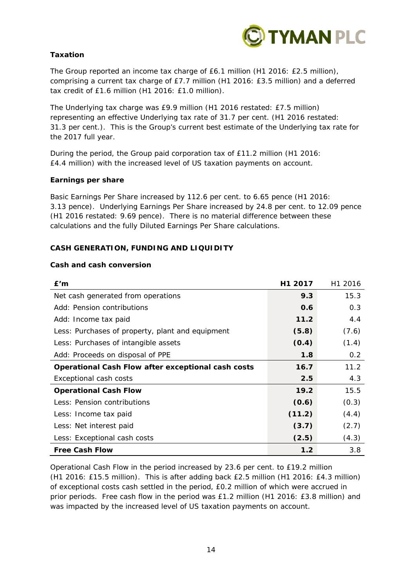

# **Taxation**

The Group reported an income tax charge of £6.1 million (H1 2016: £2.5 million), comprising a current tax charge of £7.7 million (H1 2016: £3.5 million) and a deferred tax credit of £1.6 million (H1 2016: £1.0 million).

The Underlying tax charge was £9.9 million (H1 2016 restated: £7.5 million) representing an effective Underlying tax rate of 31.7 per cent. (H1 2016 restated: 31.3 per cent.). This is the Group's current best estimate of the Underlying tax rate for the 2017 full year.

During the period, the Group paid corporation tax of £11.2 million (H1 2016: £4.4 million) with the increased level of US taxation payments on account.

## **Earnings per share**

Basic Earnings Per Share increased by 112.6 per cent. to 6.65 pence (H1 2016: 3.13 pence). Underlying Earnings Per Share increased by 24.8 per cent. to 12.09 pence (H1 2016 restated: 9.69 pence). There is no material difference between these calculations and the fully Diluted Earnings Per Share calculations.

## **CASH GENERATION, FUNDING AND LIQUIDITY**

## **Cash and cash conversion**

| E'm                                                       | H1 2017 | H <sub>1</sub> 2016 |
|-----------------------------------------------------------|---------|---------------------|
| Net cash generated from operations                        | 9.3     | 15.3                |
| Add: Pension contributions                                | 0.6     | 0.3                 |
| Add: Income tax paid                                      | 11.2    | 4.4                 |
| Less: Purchases of property, plant and equipment          | (5.8)   | (7.6)               |
| Less: Purchases of intangible assets                      | (0.4)   | (1.4)               |
| Add: Proceeds on disposal of PPE                          | 1.8     | 0.2                 |
| <b>Operational Cash Flow after exceptional cash costs</b> | 16.7    | 11.2                |
| <b>Exceptional cash costs</b>                             | 2.5     | 4.3                 |
| <b>Operational Cash Flow</b>                              | 19.2    | 15.5                |
| Less: Pension contributions                               | (0.6)   | (0.3)               |
| Less: Income tax paid                                     | (11.2)  | (4.4)               |
| Less: Net interest paid                                   | (3.7)   | (2.7)               |
| Less: Exceptional cash costs                              | (2.5)   | (4.3)               |
| <b>Free Cash Flow</b>                                     | 1.2     | 3.8                 |

Operational Cash Flow in the period increased by 23.6 per cent. to £19.2 million (H1 2016: £15.5 million). This is after adding back £2.5 million (H1 2016: £4.3 million) of exceptional costs cash settled in the period, £0.2 million of which were accrued in prior periods. Free cash flow in the period was £1.2 million (H1 2016: £3.8 million) and was impacted by the increased level of US taxation payments on account.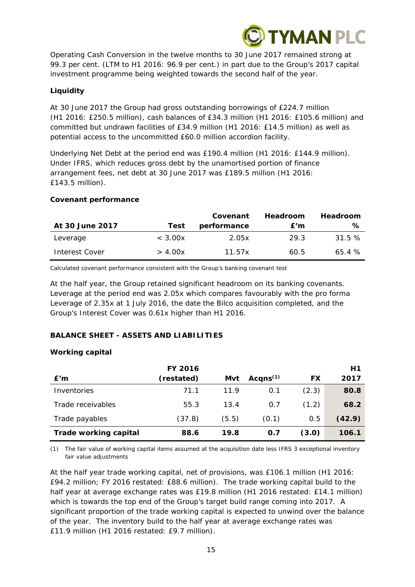

Operating Cash Conversion in the twelve months to 30 June 2017 remained strong at 99.3 per cent. (LTM to H1 2016: 96.9 per cent.) in part due to the Group's 2017 capital investment programme being weighted towards the second half of the year.

# **Liquidity**

At 30 June 2017 the Group had gross outstanding borrowings of £224.7 million (H1 2016: £250.5 million), cash balances of £34.3 million (H1 2016: £105.6 million) and committed but undrawn facilities of £34.9 million (H1 2016: £14.5 million) as well as potential access to the uncommitted £60.0 million accordion facility.

Underlying Net Debt at the period end was £190.4 million (H1 2016: £144.9 million). Under IFRS, which reduces gross debt by the unamortised portion of finance arrangement fees, net debt at 30 June 2017 was £189.5 million (H1 2016: £143.5 million).

## **Covenant performance**

|                 |         | Covenant    | <b>Headroom</b> | <b>Headroom</b> |
|-----------------|---------|-------------|-----------------|-----------------|
| At 30 June 2017 | Test    | performance | E'm             | ℅               |
| Leverage        | < 3.00x | 2.05x       | 29.3            | 31.5%           |
| Interest Cover  | > 4.00x | 11.57x      | 60.5            | 65.4%           |

*Calculated covenant performance consistent with the Group's banking covenant test*

At the half year, the Group retained significant headroom on its banking covenants. Leverage at the period end was 2.05x which compares favourably with the pro forma Leverage of 2.35x at 1 July 2016, the date the Bilco acquisition completed, and the Group's Interest Cover was 0.61x higher than H1 2016.

# **BALANCE SHEET - ASSETS AND LIABILITIES**

# **Working capital**

|                              | <b>FY 2016</b> |       |             |       | Η1     |
|------------------------------|----------------|-------|-------------|-------|--------|
| E'm                          | (restated)     | Mvt   | Acqns $(1)$ | FX    | 2017   |
| Inventories                  | 71.1           | 11.9  | 0.1         | (2.3) | 80.8   |
| Trade receivables            | 55.3           | 13.4  | 0.7         | (1.2) | 68.2   |
| Trade payables               | (37.8)         | (5.5) | (0.1)       | 0.5   | (42.9) |
| <b>Trade working capital</b> | 88.6           | 19.8  | 0.7         | (3.0) | 106.1  |

*(1) The fair value of working capital items assumed at the acquisition date less IFRS 3 exceptional inventory fair value adjustments* 

At the half year trade working capital, net of provisions, was £106.1 million (H1 2016: £94.2 million; FY 2016 restated: £88.6 million). The trade working capital build to the half year at average exchange rates was £19.8 million (H1 2016 restated: £14.1 million) which is towards the top end of the Group's target build range coming into 2017. A significant proportion of the trade working capital is expected to unwind over the balance of the year. The inventory build to the half year at average exchange rates was £11.9 million (H1 2016 restated: £9.7 million).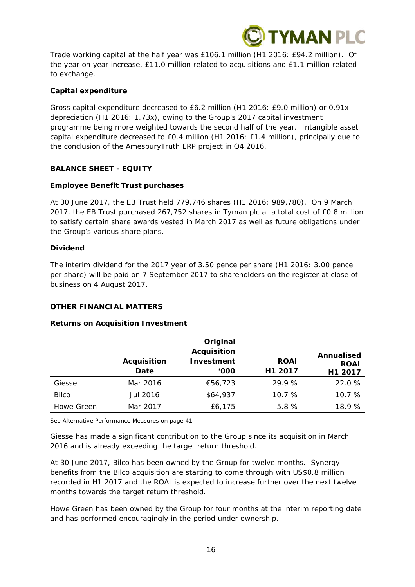

Trade working capital at the half year was £106.1 million (H1 2016: £94.2 million). Of the year on year increase, £11.0 million related to acquisitions and £1.1 million related to exchange.

## **Capital expenditure**

Gross capital expenditure decreased to £6.2 million (H1 2016: £9.0 million) or 0.91x depreciation (H1 2016: 1.73x), owing to the Group's 2017 capital investment programme being more weighted towards the second half of the year. Intangible asset capital expenditure decreased to £0.4 million (H1 2016: £1.4 million), principally due to the conclusion of the AmesburyTruth ERP project in Q4 2016.

# **BALANCE SHEET - EQUITY**

## **Employee Benefit Trust purchases**

At 30 June 2017, the EB Trust held 779,746 shares (H1 2016: 989,780). On 9 March 2017, the EB Trust purchased 267,752 shares in Tyman plc at a total cost of £0.8 million to satisfy certain share awards vested in March 2017 as well as future obligations under the Group's various share plans.

## **Dividend**

The interim dividend for the 2017 year of 3.50 pence per share (H1 2016: 3.00 pence per share) will be paid on 7 September 2017 to shareholders on the register at close of business on 4 August 2017.

## **OTHER FINANCIAL MATTERS**

## **Returns on Acquisition Investment**

|              |                            | Original                                 |                        |                                      |
|--------------|----------------------------|------------------------------------------|------------------------|--------------------------------------|
|              | <b>Acquisition</b><br>Date | <b>Acquisition</b><br>Investment<br>'000 | <b>ROAI</b><br>H1 2017 | Annualised<br><b>ROAI</b><br>H1 2017 |
| Giesse       | Mar 2016                   | €56,723                                  | 29.9%                  | 22.0 %                               |
| <b>Bilco</b> | Jul 2016                   | \$64,937                                 | 10.7%                  | 10.7%                                |
| Howe Green   | Mar 2017                   | £6,175                                   | 5.8%                   | 18.9%                                |

*See Alternative Performance Measures on page 41*

Giesse has made a significant contribution to the Group since its acquisition in March 2016 and is already exceeding the target return threshold.

At 30 June 2017, Bilco has been owned by the Group for twelve months. Synergy benefits from the Bilco acquisition are starting to come through with US\$0.8 million recorded in H1 2017 and the ROAI is expected to increase further over the next twelve months towards the target return threshold.

Howe Green has been owned by the Group for four months at the interim reporting date and has performed encouragingly in the period under ownership.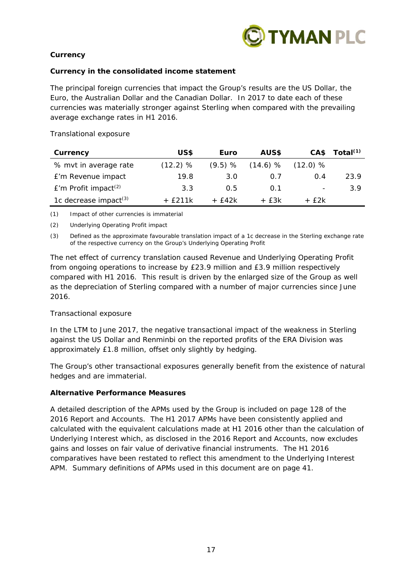

# **Currency**

# *Currency in the consolidated income statement*

The principal foreign currencies that impact the Group's results are the US Dollar, the Euro, the Australian Dollar and the Canadian Dollar. In 2017 to date each of these currencies was materially stronger against Sterling when compared with the prevailing average exchange rates in H1 2016.

| Currency                           | US\$     | Euro       | AUS\$      | CA\$                     | Total $(1)$ |
|------------------------------------|----------|------------|------------|--------------------------|-------------|
| % mvt in average rate              | (12.2) % | $(9.5) \%$ | $(14.6)$ % | $(12.0)$ %               |             |
| £'m Revenue impact                 | 19.8     | 3.0        | 0.7        | O 4                      | 23.9        |
| $E'm$ Profit impact <sup>(2)</sup> | 3.3      | 0.5        | 0.1        | $\overline{\phantom{a}}$ | 3.9         |
| 1c decrease impact <sup>(3)</sup>  | + f211k  | + f42k     | $+$ f 3k   | + f2k                    |             |

## *Translational exposure*

*(1) Impact of other currencies is immaterial* 

*(2) Underlying Operating Profit impact* 

*(3) Defined as the approximate favourable translation impact of a 1c decrease in the Sterling exchange rate of the respective currency on the Group's Underlying Operating Profit* 

The net effect of currency translation caused Revenue and Underlying Operating Profit from ongoing operations to increase by £23.9 million and £3.9 million respectively compared with H1 2016. This result is driven by the enlarged size of the Group as well as the depreciation of Sterling compared with a number of major currencies since June 2016.

# *Transactional exposure*

In the LTM to June 2017, the negative transactional impact of the weakness in Sterling against the US Dollar and Renminbi on the reported profits of the ERA Division was approximately £1.8 million, offset only slightly by hedging.

The Group's other transactional exposures generally benefit from the existence of natural hedges and are immaterial.

# **Alternative Performance Measures**

A detailed description of the APMs used by the Group is included on page 128 of the 2016 Report and Accounts. The H1 2017 APMs have been consistently applied and calculated with the equivalent calculations made at H1 2016 other than the calculation of Underlying Interest which, as disclosed in the 2016 Report and Accounts, now excludes gains and losses on fair value of derivative financial instruments. The H1 2016 comparatives have been restated to reflect this amendment to the Underlying Interest APM. Summary definitions of APMs used in this document are on page 41.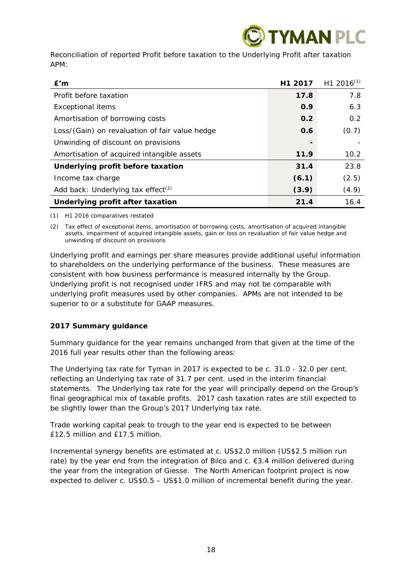# **YMAN PLC**

Reconciliation of reported Profit before taxation to the Underlying Profit after taxation APM:

| E'm                                            | H <sub>1</sub> 2017 | H <sub>1</sub> 2016 <sup>(1)</sup> |
|------------------------------------------------|---------------------|------------------------------------|
| Profit before taxation                         | 17.8                | 7.8                                |
| <b>Exceptional items</b>                       | 0.9                 | 6.3                                |
| Amortisation of borrowing costs                | 0.2                 | 0.2                                |
| Loss/(Gain) on revaluation of fair value hedge | 0.6                 | (0.7)                              |
| Unwinding of discount on provisions            |                     |                                    |
| Amortisation of acquired intangible assets     | 11.9                | 10.2                               |
| Underlying profit before taxation              | 31.4                | 23.8                               |
| Income tax charge                              | (6.1)               | (2.5)                              |
| Add back: Underlying tax effect <sup>(2)</sup> | (3.9)               | (4.9)                              |
| Underlying profit after taxation               | 21.4                | 16.4                               |

*(1) H1 2016 comparatives restated* 

*(2) Tax effect of exceptional items, amortisation of borrowing costs, amortisation of acquired intangible assets, impairment of acquired intangible assets, gain or loss on revaluation of fair value hedge and unwinding of discount on provisions* 

Underlying profit and earnings per share measures provide additional useful information to shareholders on the underlying performance of the business. These measures are consistent with how business performance is measured internally by the Group. Underlying profit is not recognised under IFRS and may not be comparable with underlying profit measures used by other companies. APMs are not intended to be superior to or a substitute for GAAP measures.

# **2017 Summary guidance**

Summary guidance for the year remains unchanged from that given at the time of the 2016 full year results other than the following areas:

The Underlying tax rate for Tyman in 2017 is expected to be c. 31.0 - 32.0 per cent. reflecting an Underlying tax rate of 31.7 per cent. used in the interim financial statements. The Underlying tax rate for the year will principally depend on the Group's final geographical mix of taxable profits. 2017 cash taxation rates are still expected to be slightly lower than the Group's 2017 Underlying tax rate.

Trade working capital peak to trough to the year end is expected to be between £12.5 million and £17.5 million.

Incremental synergy benefits are estimated at c. US\$2.0 million (US\$2.5 million run rate) by the year end from the integration of Bilco and c. €3.4 million delivered during the year from the integration of Giesse. The North American footprint project is now expected to deliver c. US\$0.5 – US\$1.0 million of incremental benefit during the year.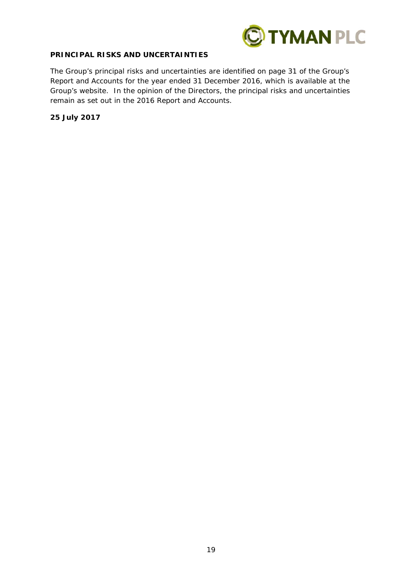

# **PRINCIPAL RISKS AND UNCERTAINTIES**

The Group's principal risks and uncertainties are identified on page 31 of the Group's Report and Accounts for the year ended 31 December 2016, which is available at the Group's website. In the opinion of the Directors, the principal risks and uncertainties remain as set out in the 2016 Report and Accounts.

**25 July 2017**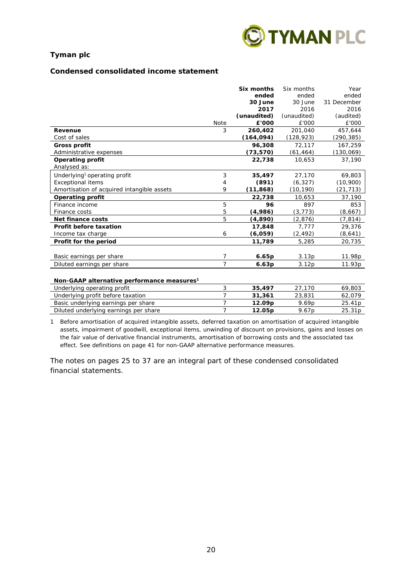

## **Condensed consolidated income statement**

|                                                        |                | Six months  | Six months  | Year        |
|--------------------------------------------------------|----------------|-------------|-------------|-------------|
|                                                        |                | ended       | ended       | ended       |
|                                                        |                | 30 June     | 30 June     | 31 December |
|                                                        |                | 2017        | 2016        | 2016        |
|                                                        |                | (unaudited) | (unaudited) | (audited)   |
|                                                        | <b>Note</b>    | £'000       | £'000       | £'000       |
| Revenue                                                | 3              | 260,402     | 201,040     | 457,644     |
| Cost of sales                                          |                | (164, 094)  | (128, 923)  | (290,385)   |
| <b>Gross profit</b>                                    |                | 96,308      | 72,117      | 167,259     |
| Administrative expenses                                |                | (73, 570)   | (61, 464)   | (130,069)   |
| <b>Operating profit</b>                                |                | 22,738      | 10,653      | 37,190      |
| Analysed as:                                           |                |             |             |             |
| Underlying <sup>1</sup> operating profit               | 3              | 35,497      | 27,170      | 69,803      |
| <b>Exceptional items</b>                               | 4              | (891)       | (6, 327)    | (10,900)    |
| Amortisation of acquired intangible assets             | 9              | (11, 868)   | (10, 190)   | (21, 713)   |
| <b>Operating profit</b>                                |                | 22,738      | 10,653      | 37,190      |
| Finance income                                         | 5              | 96          | 897         | 853         |
| Finance costs                                          | 5              | (4,986)     | (3, 773)    | (8,667)     |
| Net finance costs                                      | 5              | (4, 890)    | (2,876)     | (7, 814)    |
| Profit before taxation                                 |                | 17,848      | 7,777       | 29,376      |
| Income tax charge                                      | 6              | (6,059)     | (2, 492)    | (8,641)     |
| Profit for the period                                  |                | 11,789      | 5,285       | 20,735      |
|                                                        |                |             |             |             |
| Basic earnings per share                               | 7              | 6.65p       | 3.13p       | 11.98p      |
| Diluted earnings per share                             | $\overline{7}$ | 6.63p       | 3.12p       | 11.93p      |
|                                                        |                |             |             |             |
| Non-GAAP alternative performance measures <sup>1</sup> |                |             |             |             |
| Underlying operating profit                            | 3              | 35,497      | 27,170      | 69,803      |
| Underlying profit before taxation                      | $\overline{7}$ | 31,361      | 23,831      | 62,079      |
| Basic underlying earnings per share                    | 7              | 12.09p      | 9.69p       | 25.41p      |
| Diluted underlying earnings per share                  | $\overline{7}$ | 12.05p      | 9.67p       | 25.31p      |

1 Before amortisation of acquired intangible assets, deferred taxation on amortisation of acquired intangible assets, impairment of goodwill, exceptional items, unwinding of discount on provisions, gains and losses on the fair value of derivative financial instruments, amortisation of borrowing costs and the associated tax effect. See definitions on page 41 for non-GAAP alternative performance measures.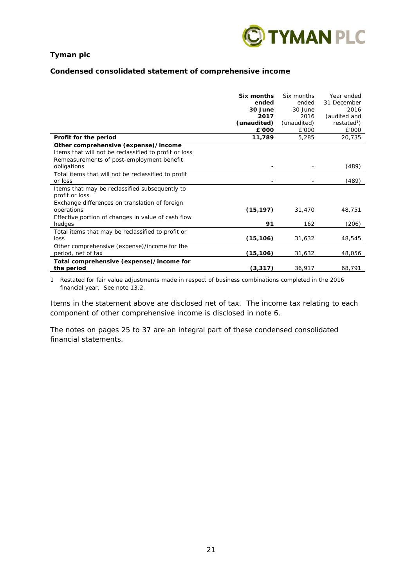

## **Condensed consolidated statement of comprehensive income**

| Profit for the period                                                                              | Six months<br>ended<br>30 June<br>2017<br>(unaudited)<br>£'000<br>11,789 | Six months<br>ended<br>30 June<br>2016<br>(unaudited)<br>£'000<br>5,285 | Year ended<br>31 December<br>2016<br>(audited and<br>restated <sup>1</sup> )<br>£'000<br>20,735 |
|----------------------------------------------------------------------------------------------------|--------------------------------------------------------------------------|-------------------------------------------------------------------------|-------------------------------------------------------------------------------------------------|
| Other comprehensive (expense)/income                                                               |                                                                          |                                                                         |                                                                                                 |
| Items that will not be reclassified to profit or loss<br>Remeasurements of post-employment benefit |                                                                          |                                                                         |                                                                                                 |
| obligations                                                                                        |                                                                          |                                                                         | (489)                                                                                           |
| Total items that will not be reclassified to profit                                                |                                                                          |                                                                         |                                                                                                 |
| or loss                                                                                            |                                                                          |                                                                         | (489)                                                                                           |
| Items that may be reclassified subsequently to<br>profit or loss                                   |                                                                          |                                                                         |                                                                                                 |
| Exchange differences on translation of foreign<br>operations                                       | (15, 197)                                                                | 31,470                                                                  | 48,751                                                                                          |
| Effective portion of changes in value of cash flow<br>hedges                                       | 91                                                                       | 162                                                                     | (206)                                                                                           |
| Total items that may be reclassified to profit or<br>loss                                          | (15, 106)                                                                | 31,632                                                                  | 48,545                                                                                          |
| Other comprehensive (expense)/income for the<br>period, net of tax                                 | (15, 106)                                                                | 31,632                                                                  | 48,056                                                                                          |
| Total comprehensive (expense)/income for<br>the period                                             | (3, 317)                                                                 | 36,917                                                                  | 68,791                                                                                          |

1 Restated for fair value adjustments made in respect of business combinations completed in the 2016 financial year. See note 13.2.

Items in the statement above are disclosed net of tax. The income tax relating to each component of other comprehensive income is disclosed in note 6.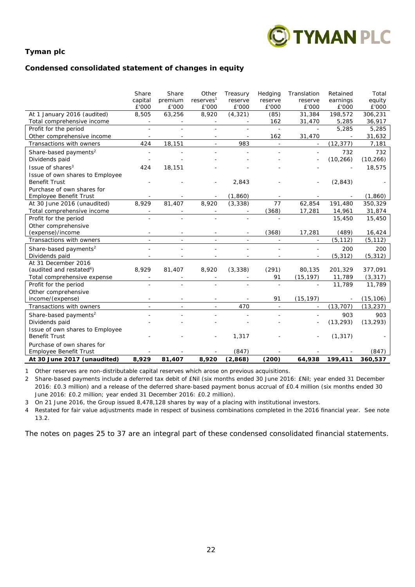

# **Condensed consolidated statement of changes in equity**

|                                      | Share<br>capital         | Share<br>premium | Other<br>reserves <sup>1</sup> | Treasury<br>reserve      | Hedging<br>reserve | Translation<br>reserve | Retained<br>earnings | Total<br>equity |
|--------------------------------------|--------------------------|------------------|--------------------------------|--------------------------|--------------------|------------------------|----------------------|-----------------|
|                                      | £'000                    | £'000            | £'000                          | £'000                    | £'000              | £'000                  | £'000                | £'000           |
| At 1 January 2016 (audited)          | 8,505                    | 63,256           | 8,920                          | (4, 321)                 | (85)               | 31,384                 | 198,572              | 306,231         |
| Total comprehensive income           |                          |                  |                                |                          | 162                | 31,470                 | 5,285                | 36,917          |
| Profit for the period                |                          |                  |                                |                          | $\bar{a}$          |                        | 5,285                | 5,285           |
| Other comprehensive income           |                          |                  |                                | 983                      | 162<br>$\equiv$    | 31,470                 |                      | 31,632          |
| Transactions with owners             | 424                      | 18,151           |                                |                          |                    |                        | (12, 377)            | 7,181           |
| Share-based payments <sup>2</sup>    |                          |                  |                                |                          |                    |                        | 732                  | 732             |
| Dividends paid                       |                          |                  |                                |                          |                    |                        | (10, 266)            | (10, 266)       |
| Issue of shares <sup>3</sup>         | 424                      | 18,151           |                                |                          |                    |                        |                      | 18,575          |
| Issue of own shares to Employee      |                          |                  |                                |                          |                    |                        |                      |                 |
| <b>Benefit Trust</b>                 |                          |                  |                                | 2,843                    |                    |                        | (2, 843)             |                 |
| Purchase of own shares for           |                          |                  |                                |                          |                    |                        |                      |                 |
| <b>Employee Benefit Trust</b>        |                          |                  |                                | (1, 860)                 |                    |                        |                      | (1,860)         |
| At 30 June 2016 (unaudited)          | 8,929                    | 81,407           | 8,920                          | (3, 338)                 | 77                 | 62,854                 | 191,480              | 350,329         |
| Total comprehensive income           | $\overline{\phantom{a}}$ |                  |                                | $\overline{\phantom{a}}$ | (368)              | 17,281                 | 14,961               | 31,874          |
| Profit for the period                |                          |                  |                                | $\overline{\phantom{a}}$ | $\sim$             |                        | 15,450               | 15,450          |
| Other comprehensive                  |                          |                  |                                |                          |                    |                        |                      |                 |
| (expense)/income                     |                          |                  |                                |                          | (368)              | 17,281                 | (489)                | 16,424          |
| Transactions with owners             |                          |                  |                                | $\overline{\phantom{a}}$ | $\blacksquare$     |                        | (5, 112)             | (5, 112)        |
| Share-based payments <sup>2</sup>    |                          |                  |                                |                          |                    |                        | 200                  | 200             |
| Dividends paid                       |                          |                  |                                |                          |                    |                        | (5, 312)             | (5, 312)        |
| At 31 December 2016                  |                          |                  |                                |                          |                    |                        |                      |                 |
| (audited and restated <sup>4</sup> ) | 8,929                    | 81,407           | 8,920                          | (3, 338)                 | (291)              | 80,135                 | 201,329              | 377,091         |
| Total comprehensive expense          |                          |                  |                                |                          | 91                 | (15, 197)              | 11,789               | (3, 317)        |
| Profit for the period                |                          |                  |                                | $\overline{a}$           | $\bar{a}$          |                        | 11,789               | 11,789          |
| Other comprehensive                  |                          |                  |                                |                          |                    |                        |                      |                 |
| income/(expense)                     |                          |                  |                                |                          | 91                 | (15, 197)              |                      | (15, 106)       |
| Transactions with owners             |                          |                  |                                | 470                      | $\omega$           |                        | (13, 707)            | (13, 237)       |
| Share-based payments <sup>2</sup>    |                          |                  |                                |                          |                    |                        | 903                  | 903             |
| Dividends paid                       |                          |                  |                                |                          |                    |                        | (13, 293)            | (13, 293)       |
| Issue of own shares to Employee      |                          |                  |                                |                          |                    |                        |                      |                 |
| <b>Benefit Trust</b>                 |                          |                  |                                | 1,317                    |                    |                        | (1, 317)             |                 |
| Purchase of own shares for           |                          |                  |                                |                          |                    |                        |                      |                 |
| Employee Benefit Trust               |                          |                  |                                | (847)                    |                    |                        |                      | (847)           |
| At 30 June 2017 (unaudited)          | 8,929                    | 81,407           | 8,920                          | (2,868)                  | (200)              | 64,938                 | 199,411              | 360,537         |

1 Other reserves are non-distributable capital reserves which arose on previous acquisitions.

2 Share-based payments include a deferred tax debit of £Nil (six months ended 30 June 2016: £Nil; year ended 31 December 2016: £0.3 million) and a release of the deferred share-based payment bonus accrual of £0.4 million (six months ended 30 June 2016: £0.2 million; year ended 31 December 2016: £0.2 million).

3 On 21 June 2016, the Group issued 8,478,128 shares by way of a placing with institutional investors.

4 Restated for fair value adjustments made in respect of business combinations completed in the 2016 financial year. See note 13.2.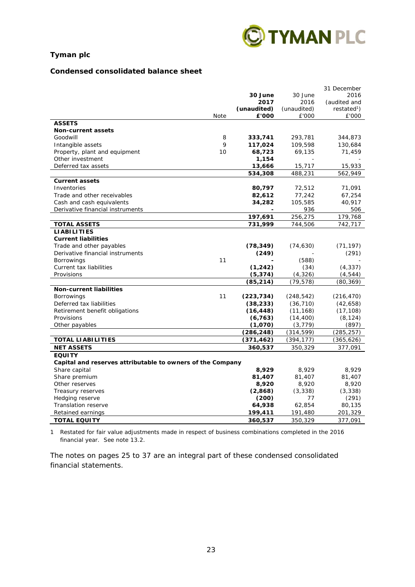

## **Condensed consolidated balance sheet**

|                                                            |      |                     |                       | 31 December             |
|------------------------------------------------------------|------|---------------------|-----------------------|-------------------------|
|                                                            |      | 30 June             | 30 June               | 2016                    |
|                                                            |      | 2017                | 2016                  | (audited and            |
|                                                            |      | (unaudited)         | (unaudited)           | restated <sup>1</sup> ) |
|                                                            | Note | £'000               | £'000                 | £'000                   |
| <b>ASSETS</b>                                              |      |                     |                       |                         |
| <b>Non-current assets</b>                                  |      |                     |                       |                         |
| Goodwill                                                   | 8    | 333,741             | 293,781               | 344,873                 |
| Intangible assets                                          | 9    | 117,024             | 109,598               | 130,684                 |
| Property, plant and equipment                              | 10   | 68,723              | 69,135                | 71,459                  |
| Other investment                                           |      | 1,154               |                       |                         |
| Deferred tax assets                                        |      | 13,666              | 15,717                | 15,933                  |
|                                                            |      | 534,308             | 488,231               | 562,949                 |
| <b>Current assets</b>                                      |      |                     |                       |                         |
| Inventories                                                |      | 80,797              | 72,512                | 71,091                  |
| Trade and other receivables                                |      | 82,612              | 77,242                | 67,254                  |
| Cash and cash equivalents                                  |      | 34,282              | 105,585               | 40,917                  |
| Derivative financial instruments                           |      |                     | 936                   | 506                     |
|                                                            |      | 197,691             | 256,275               | 179,768                 |
| <b>TOTAL ASSETS</b>                                        |      | 731,999             | 744,506               | 742,717                 |
| <b>LIABILITIES</b>                                         |      |                     |                       |                         |
| <b>Current liabilities</b>                                 |      |                     |                       |                         |
| Trade and other payables                                   |      | (78, 349)           | (74, 630)             | (71, 197)               |
| Derivative financial instruments                           |      | (249)               |                       | (291)                   |
| <b>Borrowings</b>                                          | 11   |                     | (588)                 |                         |
| Current tax liabilities                                    |      | (1, 242)            | (34)                  | (4, 337)                |
| Provisions                                                 |      | (5, 374)            | (4, 326)              | (4, 544)                |
|                                                            |      | (85, 214)           | (79, 578)             | (80,369)                |
| <b>Non-current liabilities</b>                             |      |                     |                       |                         |
| <b>Borrowings</b>                                          | 11   | (223, 734)          | (248, 542)            | (216, 470)              |
| Deferred tax liabilities                                   |      |                     | (36, 710)             | (42, 658)               |
|                                                            |      | (38, 233)           |                       |                         |
| Retirement benefit obligations<br>Provisions               |      | (16, 448)           | (11, 168)             | (17, 108)               |
| Other payables                                             |      | (6, 763)<br>(1,070) | (14, 400)<br>(3, 779) | (8, 124)<br>(897)       |
|                                                            |      | (286, 248)          | (314, 599)            | (285, 257)              |
|                                                            |      |                     |                       |                         |
| <b>TOTAL LIABILITIES</b>                                   |      | (371, 462)          | (394, 177)            | (365, 626)              |
| <b>NET ASSETS</b>                                          |      | 360,537             | 350,329               | 377,091                 |
| <b>EQUITY</b>                                              |      |                     |                       |                         |
| Capital and reserves attributable to owners of the Company |      |                     |                       |                         |
| Share capital                                              |      | 8,929               | 8,929                 | 8,929                   |
| Share premium                                              |      | 81,407              | 81,407                | 81,407                  |
| Other reserves                                             |      | 8,920               | 8,920                 | 8,920                   |
| Treasury reserves                                          |      | (2,868)             | (3,338)               | (3,338)                 |
| Hedging reserve                                            |      | (200)               | 77                    | (291)                   |
| Translation reserve                                        |      | 64,938              | 62,854                | 80,135                  |
| Retained earnings                                          |      | 199,411             | 191,480               | 201,329                 |
| <b>TOTAL EQUITY</b>                                        |      | 360,537             | 350,329               | 377,091                 |

1 Restated for fair value adjustments made in respect of business combinations completed in the 2016 financial year. See note 13.2.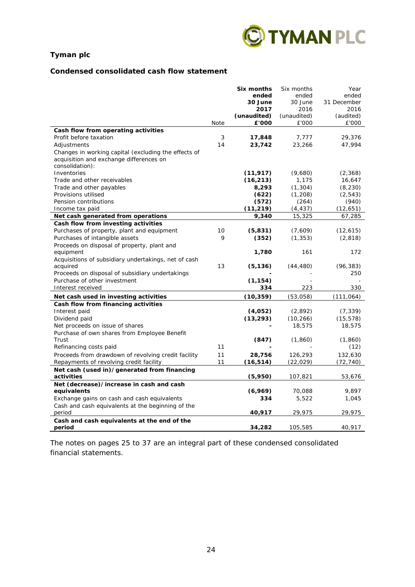

## **Condensed consolidated cash flow statement**

|                                                                           |      | Six months           | Six months           | Year               |
|---------------------------------------------------------------------------|------|----------------------|----------------------|--------------------|
|                                                                           |      | ended                | ended                | ended              |
|                                                                           |      | 30 June              | 30 June              | 31 December        |
|                                                                           |      | 2017                 | 2016                 | 2016               |
|                                                                           | Note | (unaudited)<br>£'000 | (unaudited)<br>£'000 | (audited)<br>£'000 |
| Cash flow from operating activities                                       |      |                      |                      |                    |
| Profit before taxation                                                    | 3    | 17,848               | 7.777                | 29,376             |
| Adjustments                                                               | 14   | 23,742               | 23,266               | 47,994             |
| Changes in working capital (excluding the effects of                      |      |                      |                      |                    |
| acquisition and exchange differences on                                   |      |                      |                      |                    |
| consolidation):                                                           |      |                      |                      |                    |
| Inventories                                                               |      | (11, 917)            | (9,680)              | (2,368)            |
| Trade and other receivables                                               |      | (16, 213)            | 1,175                | 16,647             |
| Trade and other payables                                                  |      | 8,293                | (1, 304)             | (8, 230)           |
| Provisions utilised                                                       |      | (622)                | (1,208)              | (2, 543)           |
| Pension contributions                                                     |      | (572)                | (264)                | (940)              |
| Income tax paid                                                           |      | (11, 219)            | (4, 437)             | (12, 651)          |
| Net cash generated from operations<br>Cash flow from investing activities |      | 9,340                | 15,325               | 67,285             |
| Purchases of property, plant and equipment                                | 10   | (5,831)              | (7,609)              | (12, 615)          |
| Purchases of intangible assets                                            | 9    | (352)                | (1, 353)             | (2, 818)           |
| Proceeds on disposal of property, plant and                               |      |                      |                      |                    |
| equipment                                                                 |      | 1,780                | 161                  | 172                |
| Acquisitions of subsidiary undertakings, net of cash                      |      |                      |                      |                    |
| acquired                                                                  | 13   | (5, 136)             | (44, 480)            | (96, 383)          |
| Proceeds on disposal of subsidiary undertakings                           |      |                      |                      | 250                |
| Purchase of other investment                                              |      | (1, 154)             |                      |                    |
| Interest received                                                         |      | 334                  | 223                  | 330                |
| Net cash used in investing activities                                     |      | (10, 359)            | (53,058)             | (111, 064)         |
| Cash flow from financing activities                                       |      |                      |                      |                    |
| Interest paid                                                             |      | (4,052)              | (2,892)              | (7, 339)           |
| Dividend paid                                                             |      | (13, 293)            | (10, 266)            | (15, 578)          |
| Net proceeds on issue of shares                                           |      |                      | 18,575               | 18,575             |
| Purchase of own shares from Employee Benefit<br>Trust                     |      | (847)                | (1, 860)             | (1, 860)           |
| Refinancing costs paid                                                    | 11   |                      |                      | (12)               |
| Proceeds from drawdown of revolving credit facility                       | 11   | 28,756               | 126,293              | 132,630            |
| Repayments of revolving credit facility                                   | 11   | (16, 514)            | (22, 029)            | (72, 740)          |
| Net cash (used in)/generated from financing                               |      |                      |                      |                    |
| activities                                                                |      | (5,950)              | 107,821              | 53,676             |
| Net (decrease)/increase in cash and cash                                  |      |                      |                      |                    |
| equivalents                                                               |      | (6,969)              | 70,088               | 9,897              |
| Exchange gains on cash and cash equivalents                               |      | 334                  | 5,522                | 1,045              |
| Cash and cash equivalents at the beginning of the                         |      |                      |                      |                    |
| period                                                                    |      | 40,917               | 29,975               | 29,975             |
| Cash and cash equivalents at the end of the                               |      |                      |                      |                    |
| period                                                                    |      | 34,282               | 105,585              | 40,917             |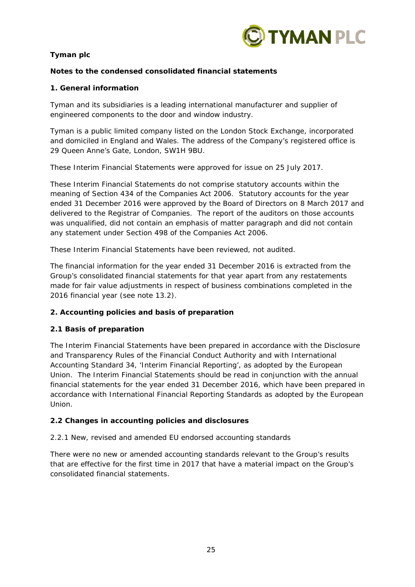

# **Notes to the condensed consolidated financial statements**

# **1. General information**

Tyman and its subsidiaries is a leading international manufacturer and supplier of engineered components to the door and window industry.

Tyman is a public limited company listed on the London Stock Exchange, incorporated and domiciled in England and Wales. The address of the Company's registered office is 29 Queen Anne's Gate, London, SW1H 9BU.

These Interim Financial Statements were approved for issue on 25 July 2017.

These Interim Financial Statements do not comprise statutory accounts within the meaning of Section 434 of the Companies Act 2006. Statutory accounts for the year ended 31 December 2016 were approved by the Board of Directors on 8 March 2017 and delivered to the Registrar of Companies. The report of the auditors on those accounts was unqualified, did not contain an emphasis of matter paragraph and did not contain any statement under Section 498 of the Companies Act 2006.

These Interim Financial Statements have been reviewed, not audited.

The financial information for the year ended 31 December 2016 is extracted from the Group's consolidated financial statements for that year apart from any restatements made for fair value adjustments in respect of business combinations completed in the 2016 financial year (see note 13.2).

# **2. Accounting policies and basis of preparation**

# **2.1 Basis of preparation**

The Interim Financial Statements have been prepared in accordance with the Disclosure and Transparency Rules of the Financial Conduct Authority and with International Accounting Standard 34, 'Interim Financial Reporting', as adopted by the European Union. The Interim Financial Statements should be read in conjunction with the annual financial statements for the year ended 31 December 2016, which have been prepared in accordance with International Financial Reporting Standards as adopted by the European Union.

# **2.2 Changes in accounting policies and disclosures**

## *2.2.1 New, revised and amended EU endorsed accounting standards*

There were no new or amended accounting standards relevant to the Group's results that are effective for the first time in 2017 that have a material impact on the Group's consolidated financial statements.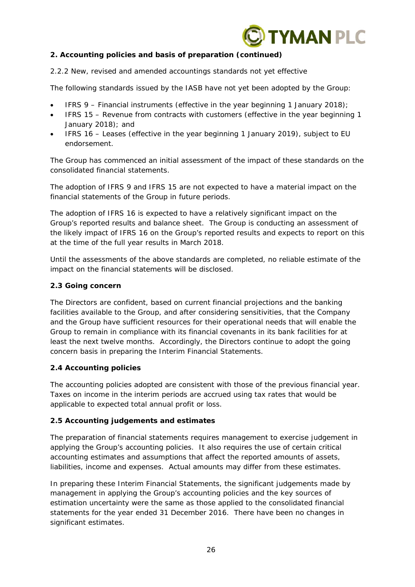

# **2. Accounting policies and basis of preparation (continued)**

## *2.2.2 New, revised and amended accountings standards not yet effective*

The following standards issued by the IASB have not yet been adopted by the Group:

- IFRS 9 Financial instruments (effective in the year beginning 1 January 2018);
- IFRS 15 Revenue from contracts with customers (effective in the year beginning 1 January 2018); and
- IFRS 16 Leases (effective in the year beginning 1 January 2019), subject to EU endorsement.

The Group has commenced an initial assessment of the impact of these standards on the consolidated financial statements.

The adoption of IFRS 9 and IFRS 15 are not expected to have a material impact on the financial statements of the Group in future periods.

The adoption of IFRS 16 is expected to have a relatively significant impact on the Group's reported results and balance sheet. The Group is conducting an assessment of the likely impact of IFRS 16 on the Group's reported results and expects to report on this at the time of the full year results in March 2018.

Until the assessments of the above standards are completed, no reliable estimate of the impact on the financial statements will be disclosed.

## **2.3 Going concern**

The Directors are confident, based on current financial projections and the banking facilities available to the Group, and after considering sensitivities, that the Company and the Group have sufficient resources for their operational needs that will enable the Group to remain in compliance with its financial covenants in its bank facilities for at least the next twelve months. Accordingly, the Directors continue to adopt the going concern basis in preparing the Interim Financial Statements.

## **2.4 Accounting policies**

The accounting policies adopted are consistent with those of the previous financial year. Taxes on income in the interim periods are accrued using tax rates that would be applicable to expected total annual profit or loss.

## **2.5 Accounting judgements and estimates**

The preparation of financial statements requires management to exercise judgement in applying the Group's accounting policies. It also requires the use of certain critical accounting estimates and assumptions that affect the reported amounts of assets, liabilities, income and expenses. Actual amounts may differ from these estimates.

In preparing these Interim Financial Statements, the significant judgements made by management in applying the Group's accounting policies and the key sources of estimation uncertainty were the same as those applied to the consolidated financial statements for the year ended 31 December 2016. There have been no changes in significant estimates.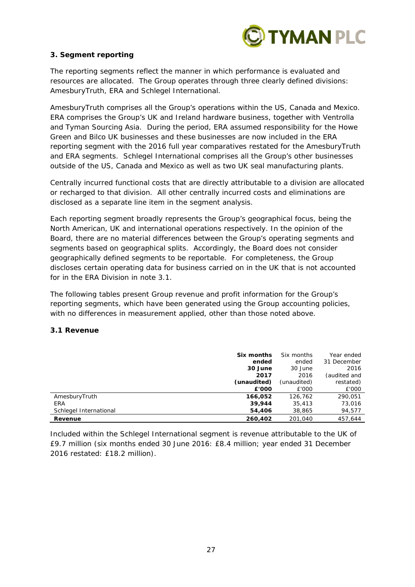

# **3. Segment reporting**

The reporting segments reflect the manner in which performance is evaluated and resources are allocated. The Group operates through three clearly defined divisions: AmesburyTruth, ERA and Schlegel International.

AmesburyTruth comprises all the Group's operations within the US, Canada and Mexico. ERA comprises the Group's UK and Ireland hardware business, together with Ventrolla and Tyman Sourcing Asia. During the period, ERA assumed responsibility for the Howe Green and Bilco UK businesses and these businesses are now included in the ERA reporting segment with the 2016 full year comparatives restated for the AmesburyTruth and ERA segments. Schlegel International comprises all the Group's other businesses outside of the US, Canada and Mexico as well as two UK seal manufacturing plants.

Centrally incurred functional costs that are directly attributable to a division are allocated or recharged to that division. All other centrally incurred costs and eliminations are disclosed as a separate line item in the segment analysis.

Each reporting segment broadly represents the Group's geographical focus, being the North American, UK and international operations respectively. In the opinion of the Board, there are no material differences between the Group's operating segments and segments based on geographical splits. Accordingly, the Board does not consider geographically defined segments to be reportable. For completeness, the Group discloses certain operating data for business carried on in the UK that is not accounted for in the ERA Division in note 3.1.

The following tables present Group revenue and profit information for the Group's reporting segments, which have been generated using the Group accounting policies, with no differences in measurement applied, other than those noted above.

# **3.1 Revenue**

|                        | Six months  | Six months  | Year ended   |
|------------------------|-------------|-------------|--------------|
|                        | ended       | ended       | 31 December  |
|                        | 30 June     | 30 June     | 2016         |
|                        | 2017        | 2016        | (audited and |
|                        | (unaudited) | (unaudited) | restated)    |
|                        | £'000       | £'000       | £'000        |
| AmesburyTruth          | 166.052     | 126.762     | 290.051      |
| <b>ERA</b>             | 39,944      | 35,413      | 73,016       |
| Schlegel International | 54,406      | 38,865      | 94,577       |
| Revenue                | 260,402     | 201.040     | 457,644      |

Included within the Schlegel International segment is revenue attributable to the UK of £9.7 million (six months ended 30 June 2016: £8.4 million; year ended 31 December 2016 restated: £18.2 million).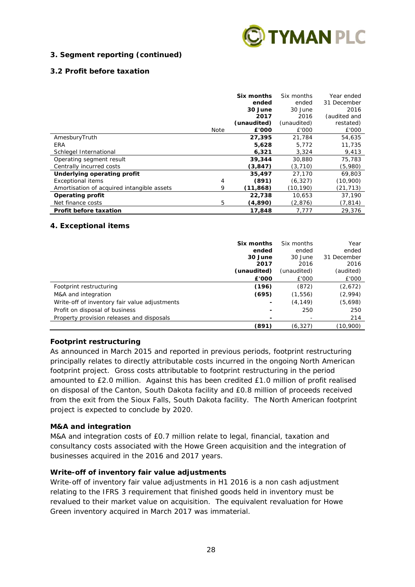

# **3. Segment reporting (continued)**

# **3.2 Profit before taxation**

|                                            |             | Six months<br>ended<br>30 June | Six months<br>ended<br>30 June | Year ended<br>31 December<br>2016 |
|--------------------------------------------|-------------|--------------------------------|--------------------------------|-----------------------------------|
|                                            |             | 2017                           | 2016                           | (audited and                      |
|                                            |             | (unaudited)                    | (unaudited)                    | restated)                         |
|                                            | <b>Note</b> | £'000                          | £'000                          | £'000                             |
| AmesburyTruth                              |             | 27,395                         | 21,784                         | 54,635                            |
| <b>ERA</b>                                 |             | 5,628                          | 5.772                          | 11,735                            |
| Schlegel International                     |             | 6,321                          | 3,324                          | 9,413                             |
| Operating segment result                   |             | 39,344                         | 30,880                         | 75,783                            |
| Centrally incurred costs                   |             | (3, 847)                       | (3,710)                        | (5,980)                           |
| Underlying operating profit                |             | 35,497                         | 27.170                         | 69,803                            |
| <b>Exceptional items</b>                   | 4           | (891)                          | (6, 327)                       | (10,900)                          |
| Amortisation of acquired intangible assets | 9           | (11,868)                       | (10,190)                       | (21, 713)                         |
| <b>Operating profit</b>                    |             | 22,738                         | 10,653                         | 37,190                            |
| Net finance costs                          | 5           | (4,890)                        | (2,876)                        | (7, 814)                          |
| <b>Profit before taxation</b>              |             | 17,848                         | 7,777                          | 29,376                            |

## **4. Exceptional items**

|                                               | Six months<br>ended | Six months<br>ended | Year<br>ended |
|-----------------------------------------------|---------------------|---------------------|---------------|
|                                               | 30 June             | 30 June             | 31 December   |
|                                               | 2017                | 2016                | 2016          |
|                                               | (unaudited)         | (unaudited)         | (audited)     |
|                                               | £'000               | £'000               | £'000         |
| Footprint restructuring                       | (196)               | (872)               | (2,672)       |
| M&A and integration                           | (695)               | (1, 556)            | (2,994)       |
| Write-off of inventory fair value adjustments | ۰                   | (4,149)             | (5,698)       |
| Profit on disposal of business                |                     | 250                 | 250           |
| Property provision releases and disposals     |                     | -                   | 214           |
|                                               | (891)               | (6, 327)            | (10,900)      |

# **Footprint restructuring**

As announced in March 2015 and reported in previous periods, footprint restructuring principally relates to directly attributable costs incurred in the ongoing North American footprint project. Gross costs attributable to footprint restructuring in the period amounted to £2.0 million. Against this has been credited £1.0 million of profit realised on disposal of the Canton, South Dakota facility and £0.8 million of proceeds received from the exit from the Sioux Falls, South Dakota facility. The North American footprint project is expected to conclude by 2020.

## **M&A and integration**

M&A and integration costs of £0.7 million relate to legal, financial, taxation and consultancy costs associated with the Howe Green acquisition and the integration of businesses acquired in the 2016 and 2017 years.

## **Write-off of inventory fair value adjustments**

Write-off of inventory fair value adjustments in H1 2016 is a non cash adjustment relating to the IFRS 3 requirement that finished goods held in inventory must be revalued to their market value on acquisition. The equivalent revaluation for Howe Green inventory acquired in March 2017 was immaterial.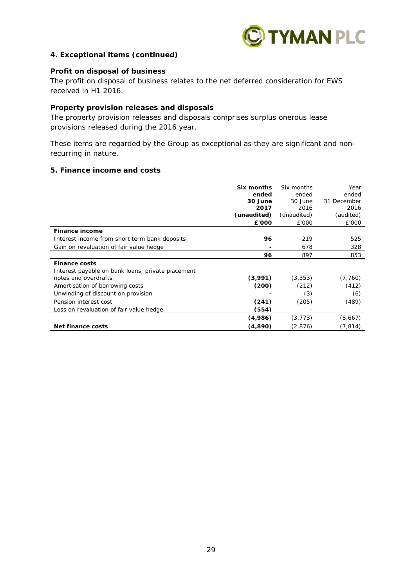

## **4. Exceptional items (continued)**

## **Profit on disposal of business**

The profit on disposal of business relates to the net deferred consideration for EWS received in H1 2016.

#### **Property provision releases and disposals**

The property provision releases and disposals comprises surplus onerous lease provisions released during the 2016 year.

These items are regarded by the Group as exceptional as they are significant and nonrecurring in nature.

#### **5. Finance income and costs**

|                                                                           | Six months<br>ended<br>30 June<br>2017<br>(unaudited)<br>£'000 | Six months<br>ended<br>30 June<br>2016<br>(unaudited)<br>£'000 | Year<br>ended<br>31 December<br>2016<br>(audited)<br>£'000 |
|---------------------------------------------------------------------------|----------------------------------------------------------------|----------------------------------------------------------------|------------------------------------------------------------|
| Finance income                                                            |                                                                |                                                                |                                                            |
| Interest income from short term bank deposits                             | 96                                                             | 219                                                            | 525                                                        |
| Gain on revaluation of fair value hedge                                   |                                                                | 678                                                            | 328                                                        |
|                                                                           | 96                                                             | 897                                                            | 853                                                        |
| <b>Finance costs</b>                                                      |                                                                |                                                                |                                                            |
| Interest payable on bank loans, private placement<br>notes and overdrafts | (3,991)                                                        | (3, 353)                                                       | (7, 760)                                                   |
| Amortisation of borrowing costs                                           | (200)                                                          | (212)                                                          | (412)                                                      |
| Unwinding of discount on provision                                        |                                                                | (3)                                                            | (6)                                                        |
| Pension interest cost                                                     | (241)                                                          | (205)                                                          | (489)                                                      |
| Loss on revaluation of fair value hedge                                   | (554)                                                          |                                                                |                                                            |
|                                                                           | (4,986)                                                        | (3, 773)                                                       | (8,667)                                                    |
| Net finance costs                                                         | (4,890)                                                        | (2,876)                                                        | (7, 814)                                                   |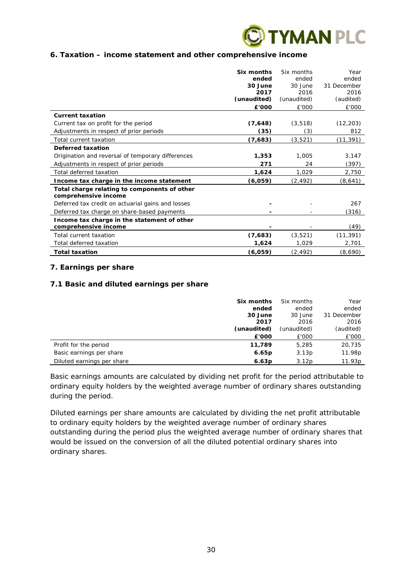

## **6. Taxation – income statement and other comprehensive income**

|                                                                      | Six months<br>ended<br>30 June<br>2017<br>(unaudited) | Six months<br>ended<br>30 June<br>2016<br>(unaudited) | Year<br>ended<br>31 December<br>2016<br>(audited) |
|----------------------------------------------------------------------|-------------------------------------------------------|-------------------------------------------------------|---------------------------------------------------|
|                                                                      | £'000                                                 | £'000                                                 | £'000                                             |
| <b>Current taxation</b>                                              |                                                       |                                                       |                                                   |
| Current tax on profit for the period                                 | (7,648)                                               | (3, 518)                                              | (12, 203)                                         |
| Adjustments in respect of prior periods                              | (35)                                                  | (3)                                                   | 812                                               |
| Total current taxation                                               | (7,683)                                               | (3, 521)                                              | (11,391)                                          |
| Deferred taxation                                                    |                                                       |                                                       |                                                   |
| Origination and reversal of temporary differences                    | 1,353                                                 | 1,005                                                 | 3,147                                             |
| Adjustments in respect of prior periods                              | 271                                                   | 24                                                    | (397)                                             |
| Total deferred taxation                                              | 1,624                                                 | 1,029                                                 | 2,750                                             |
| Income tax charge in the income statement                            | (6,059)                                               | (2, 492)                                              | (8,641)                                           |
| Total charge relating to components of other<br>comprehensive income |                                                       |                                                       |                                                   |
| Deferred tax credit on actuarial gains and losses                    |                                                       |                                                       | 267                                               |
| Deferred tax charge on share-based payments                          |                                                       |                                                       | (316)                                             |
| Income tax charge in the statement of other<br>comprehensive income  |                                                       |                                                       | (49)                                              |
| Total current taxation                                               | (7,683)                                               | (3, 521)                                              | (11, 391)                                         |
| Total deferred taxation                                              | 1,624                                                 | 1,029                                                 | 2,701                                             |
| <b>Total taxation</b>                                                | (6,059)                                               | (2,492)                                               | (8,690)                                           |

## **7. Earnings per share**

## **7.1 Basic and diluted earnings per share**

|                            | Six months<br>ended<br>30 June<br>2017 | Six months<br>ended<br>30 June<br>2016 | Year<br>ended<br>31 December<br>2016 |
|----------------------------|----------------------------------------|----------------------------------------|--------------------------------------|
|                            | (unaudited)                            | (unaudited)                            | (audited)                            |
|                            | £'000                                  | £'000                                  | £'000                                |
| Profit for the period      | 11,789                                 | 5,285                                  | 20,735                               |
| Basic earnings per share   | 6.65p                                  | 3.13p                                  | 11.98p                               |
| Diluted earnings per share | 6.63 <sub>p</sub>                      | 3.12 <sub>p</sub>                      | 11.93p                               |

Basic earnings amounts are calculated by dividing net profit for the period attributable to ordinary equity holders by the weighted average number of ordinary shares outstanding during the period.

Diluted earnings per share amounts are calculated by dividing the net profit attributable to ordinary equity holders by the weighted average number of ordinary shares outstanding during the period plus the weighted average number of ordinary shares that would be issued on the conversion of all the diluted potential ordinary shares into ordinary shares.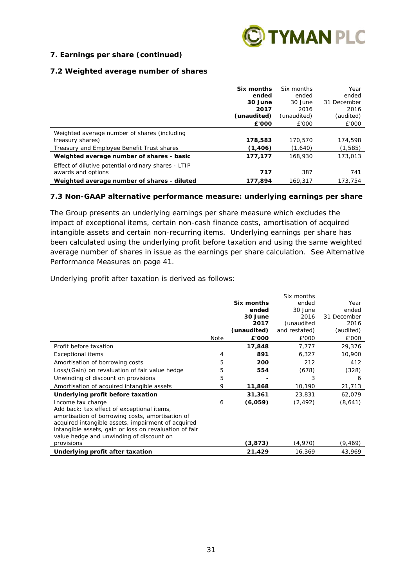

# **7. Earnings per share (continued)**

## **7.2 Weighted average number of shares**

|                                                     | Six months  | Six months  | Year        |
|-----------------------------------------------------|-------------|-------------|-------------|
|                                                     | ended       | ended       | ended       |
|                                                     | 30 June     | 30 June     | 31 December |
|                                                     | 2017        | 2016        | 2016        |
|                                                     | (unaudited) | (unaudited) | (audited)   |
|                                                     | £'000       | £'000       | £'000       |
| Weighted average number of shares (including        |             |             |             |
| treasury shares)                                    | 178,583     | 170.570     | 174,598     |
| Treasury and Employee Benefit Trust shares          | (1,406)     | (1,640)     | (1,585)     |
| Weighted average number of shares - basic           | 177.177     | 168,930     | 173,013     |
| Effect of dilutive potential ordinary shares - LTIP |             |             |             |
| awards and options                                  | 717         | 387         | 741         |
| Weighted average number of shares - diluted         | 177.894     | 169.317     | 173.754     |

## **7.3 Non-GAAP alternative performance measure: underlying earnings per share**

The Group presents an underlying earnings per share measure which excludes the impact of exceptional items, certain non-cash finance costs, amortisation of acquired intangible assets and certain non-recurring items. Underlying earnings per share has been calculated using the underlying profit before taxation and using the same weighted average number of shares in issue as the earnings per share calculation. See Alternative Performance Measures on page 41.

Underlying profit after taxation is derived as follows:

|                                                        |      |             | Six months    |             |
|--------------------------------------------------------|------|-------------|---------------|-------------|
|                                                        |      | Six months  | ended         | Year        |
|                                                        |      | ended       | 30 June       | ended       |
|                                                        |      | 30 June     | 2016          | 31 December |
|                                                        |      | 2017        | (unaudited    | 2016        |
|                                                        |      | (unaudited) | and restated) | (audited)   |
|                                                        | Note | £'000       | £'000         | £'000       |
| Profit before taxation                                 |      | 17,848      | 7,777         | 29,376      |
| <b>Exceptional items</b>                               | 4    | 891         | 6,327         | 10,900      |
| Amortisation of borrowing costs                        | 5    | 200         | 212           | 412         |
| Loss/(Gain) on revaluation of fair value hedge         | 5    | 554         | (678)         | (328)       |
| Unwinding of discount on provisions                    | 5    |             | 3             | 6           |
| Amortisation of acquired intangible assets             | 9    | 11,868      | 10,190        | 21,713      |
| Underlying profit before taxation                      |      | 31,361      | 23,831        | 62,079      |
| Income tax charge                                      | 6    | (6,059)     | (2, 492)      | (8,641)     |
| Add back: tax effect of exceptional items,             |      |             |               |             |
| amortisation of borrowing costs, amortisation of       |      |             |               |             |
| acquired intangible assets, impairment of acquired     |      |             |               |             |
| intangible assets, gain or loss on revaluation of fair |      |             |               |             |
| value hedge and unwinding of discount on               |      |             |               |             |
| provisions                                             |      | (3,873)     | (4,970)       | (9,469)     |
| Underlying profit after taxation                       |      | 21,429      | 16,369        | 43,969      |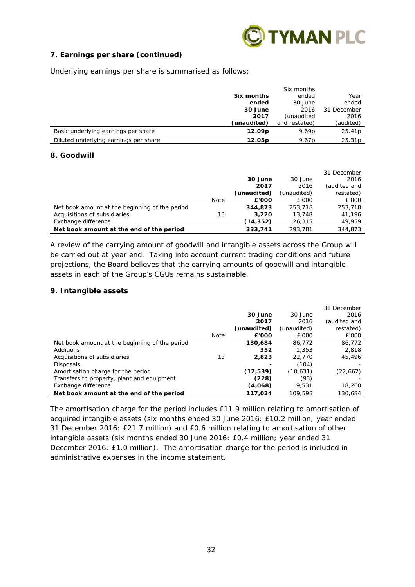

# **7. Earnings per share (continued)**

Underlying earnings per share is summarised as follows:

|                                       |                    | Six months        |                    |
|---------------------------------------|--------------------|-------------------|--------------------|
|                                       | Six months         | ended             | Year               |
|                                       | ended              | 30 June           | ended              |
|                                       | 30 June            | 2016              | 31 December        |
|                                       | 2017               | (unaudited        | 2016               |
|                                       | (unaudited)        | and restated)     | (audited)          |
| Basic underlying earnings per share   | 12.09 <sub>p</sub> | 9.69 <sub>p</sub> | 25.41p             |
| Diluted underlying earnings per share | 12.05 <sub>p</sub> | 9.67 <sub>p</sub> | 25.31 <sub>p</sub> |

## **8. Goodwill**

|                                                |      |             |             | 31 December  |
|------------------------------------------------|------|-------------|-------------|--------------|
|                                                |      | 30 June     | 30 June     | 2016         |
|                                                |      | 2017        | 2016        | (audited and |
|                                                |      | (unaudited) | (unaudited) | restated)    |
|                                                | Note | £'000       | £'000       | £'000        |
| Net book amount at the beginning of the period |      | 344,873     | 253,718     | 253,718      |
| Acquisitions of subsidiaries                   | 13   | 3,220       | 13,748      | 41,196       |
| Exchange difference                            |      | (14,352)    | 26,315      | 49,959       |
| Net book amount at the end of the period       |      | 333,741     | 293.781     | 344,873      |

A review of the carrying amount of goodwill and intangible assets across the Group will be carried out at year end. Taking into account current trading conditions and future projections, the Board believes that the carrying amounts of goodwill and intangible assets in each of the Group's CGUs remains sustainable.

## **9. Intangible assets**

|                                                |      |             |             | 31 December  |
|------------------------------------------------|------|-------------|-------------|--------------|
|                                                |      | 30 June     | 30 June     | 2016         |
|                                                |      | 2017        | 2016        | (audited and |
|                                                |      | (unaudited) | (unaudited) | restated)    |
|                                                | Note | £'000       | £'000       | £'000        |
| Net book amount at the beginning of the period |      | 130,684     | 86.772      | 86,772       |
| Additions                                      |      | 352         | 1,353       | 2,818        |
| Acquisitions of subsidiaries                   | 13   | 2,823       | 22,770      | 45,496       |
| Disposals                                      |      |             | (104)       |              |
| Amortisation charge for the period             |      | (12,539)    | (10,631)    | (22, 662)    |
| Transfers to property, plant and equipment     |      | (228)       | (93)        |              |
| Exchange difference                            |      | (4,068)     | 9.531       | 18,260       |
| Net book amount at the end of the period       |      | 117.024     | 109.598     | 130.684      |

The amortisation charge for the period includes £11.9 million relating to amortisation of acquired intangible assets (six months ended 30 June 2016: £10.2 million; year ended 31 December 2016: £21.7 million) and £0.6 million relating to amortisation of other intangible assets (six months ended 30 June 2016: £0.4 million; year ended 31 December 2016: £1.0 million). The amortisation charge for the period is included in administrative expenses in the income statement.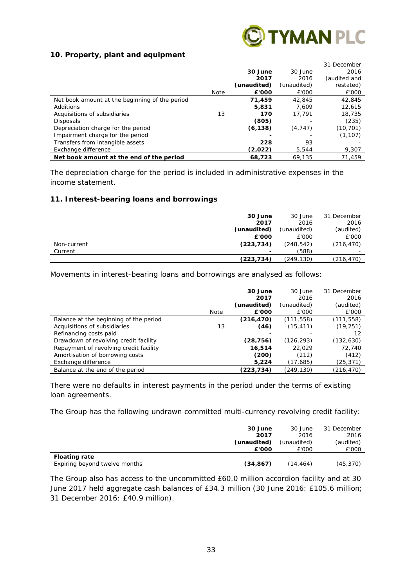

## **10. Property, plant and equipment**

|                                                |             |             |             | 31 December  |
|------------------------------------------------|-------------|-------------|-------------|--------------|
|                                                |             | 30 June     | 30 June     | 2016         |
|                                                |             | 2017        | 2016        | (audited and |
|                                                |             | (unaudited) | (unaudited) | restated)    |
|                                                | <b>Note</b> | £'000       | £'000       | £'000        |
| Net book amount at the beginning of the period |             | 71.459      | 42.845      | 42,845       |
| Additions                                      |             | 5,831       | 7.609       | 12.615       |
| Acquisitions of subsidiaries                   | 13          | 170         | 17.791      | 18,735       |
| <b>Disposals</b>                               |             | (805)       |             | (235)        |
| Depreciation charge for the period             |             | (6, 138)    | (4, 747)    | (10, 701)    |
| Impairment charge for the period               |             |             |             | (1, 107)     |
| Transfers from intangible assets               |             | 228         | 93          |              |
| Exchange difference                            |             | (2,022)     | 5,544       | 9,307        |
| Net book amount at the end of the period       |             | 68.723      | 69.135      | 71.459       |

The depreciation charge for the period is included in administrative expenses in the income statement.

## **11. Interest-bearing loans and borrowings**

|             | 30 June                  | 30 June     | 31 December              |
|-------------|--------------------------|-------------|--------------------------|
|             | 2017                     | 2016        | 2016                     |
|             | (unaudited)              | (unaudited) | (audited)                |
|             | £'000                    | £'000       | £'000                    |
| Non-current | (223, 734)               | (248, 542)  | (216, 470)               |
| Current     | $\overline{\phantom{a}}$ | (588)       | $\overline{\phantom{0}}$ |
|             | (223,734)                | (249,130)   | (216, 470)               |

Movements in interest-bearing loans and borrowings are analysed as follows:

|                                        |      | 30 June<br>2017 | 30 June<br>2016 | 31 December<br>2016 |
|----------------------------------------|------|-----------------|-----------------|---------------------|
|                                        |      | (unaudited)     | (unaudited)     | (audited)           |
|                                        | Note | £'000           | £'000           | £'000               |
| Balance at the beginning of the period |      | (216, 470)      | (111, 558)      | (111, 558)          |
| Acquisitions of subsidiaries           | 13   | (46)            | (15, 411)       | (19, 251)           |
| Refinancing costs paid                 |      |                 |                 | 12                  |
| Drawdown of revolving credit facility  |      | (28, 756)       | (126, 293)      | (132, 630)          |
| Repayment of revolving credit facility |      | 16,514          | 22.029          | 72,740              |
| Amortisation of borrowing costs        |      | (200)           | (212)           | (412)               |
| Exchange difference                    |      | 5,224           | (17,685)        | (25,371)            |
| Balance at the end of the period       |      | (223,734)       | (249,130)       | (216,470)           |

There were no defaults in interest payments in the period under the terms of existing loan agreements.

The Group has the following undrawn committed multi-currency revolving credit facility:

|                               | 30 June     | 30 June     | 31 December |
|-------------------------------|-------------|-------------|-------------|
|                               | 2017        | 2016        | 2016        |
|                               | (unaudited) | (unaudited) | (audited)   |
|                               | £'000       | £'000       | £'000       |
| <b>Floating rate</b>          |             |             |             |
| Expiring beyond twelve months | (34, 867)   | (14,464)    | (45,370)    |

The Group also has access to the uncommitted £60.0 million accordion facility and at 30 June 2017 held aggregate cash balances of £34.3 million (30 June 2016: £105.6 million; 31 December 2016: £40.9 million).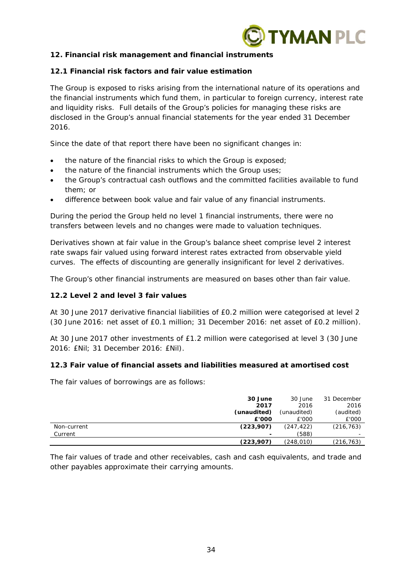

# **12. Financial risk management and financial instruments**

## **12.1 Financial risk factors and fair value estimation**

The Group is exposed to risks arising from the international nature of its operations and the financial instruments which fund them, in particular to foreign currency, interest rate and liquidity risks. Full details of the Group's policies for managing these risks are disclosed in the Group's annual financial statements for the year ended 31 December 2016.

Since the date of that report there have been no significant changes in:

- the nature of the financial risks to which the Group is exposed;
- the nature of the financial instruments which the Group uses;
- the Group's contractual cash outflows and the committed facilities available to fund them; or
- difference between book value and fair value of any financial instruments.

During the period the Group held no level 1 financial instruments, there were no transfers between levels and no changes were made to valuation techniques.

Derivatives shown at fair value in the Group's balance sheet comprise level 2 interest rate swaps fair valued using forward interest rates extracted from observable yield curves. The effects of discounting are generally insignificant for level 2 derivatives.

The Group's other financial instruments are measured on bases other than fair value.

## **12.2 Level 2 and level 3 fair values**

At 30 June 2017 derivative financial liabilities of £0.2 million were categorised at level 2 (30 June 2016: net asset of £0.1 million; 31 December 2016: net asset of £0.2 million).

At 30 June 2017 other investments of £1.2 million were categorised at level 3 (30 June 2016: £Nil; 31 December 2016: £Nil).

## **12.3 Fair value of financial assets and liabilities measured at amortised cost**

The fair values of borrowings are as follows:

|             | 30 June                  | 30 June     | 31 December              |
|-------------|--------------------------|-------------|--------------------------|
|             | 2017                     | 2016        | 2016                     |
|             | (unaudited)              | (unaudited) | (audited)                |
|             | £'000                    | £'000       | £'000                    |
| Non-current | (223, 907)               | (247, 422)  | (216, 763)               |
| Current     | $\overline{\phantom{a}}$ | (588)       | $\overline{\phantom{0}}$ |
|             | (223, 907)               | (248,010)   | (216,763)                |

The fair values of trade and other receivables, cash and cash equivalents, and trade and other payables approximate their carrying amounts.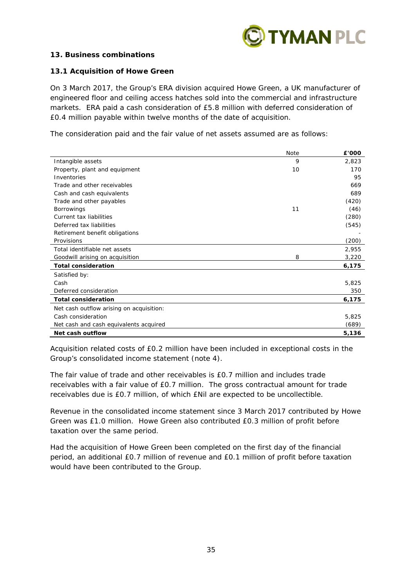

## **13. Business combinations**

## **13.1 Acquisition of Howe Green**

On 3 March 2017, the Group's ERA division acquired Howe Green, a UK manufacturer of engineered floor and ceiling access hatches sold into the commercial and infrastructure markets. ERA paid a cash consideration of £5.8 million with deferred consideration of £0.4 million payable within twelve months of the date of acquisition.

The consideration paid and the fair value of net assets assumed are as follows:

|                                          | <b>Note</b> | £'000 |
|------------------------------------------|-------------|-------|
| Intangible assets                        | 9           | 2,823 |
| Property, plant and equipment            | 10          | 170   |
| Inventories                              |             | 95    |
| Trade and other receivables              |             | 669   |
| Cash and cash equivalents                |             | 689   |
| Trade and other payables                 |             | (420) |
| <b>Borrowings</b>                        | 11          | (46)  |
| Current tax liabilities                  |             | (280) |
| Deferred tax liabilities                 |             | (545) |
| Retirement benefit obligations           |             |       |
| Provisions                               |             | (200) |
| Total identifiable net assets            |             | 2,955 |
| Goodwill arising on acquisition          | 8           | 3,220 |
| <b>Total consideration</b>               |             | 6,175 |
| Satisfied by:                            |             |       |
| Cash                                     |             | 5,825 |
| Deferred consideration                   |             | 350   |
| <b>Total consideration</b>               |             | 6,175 |
| Net cash outflow arising on acquisition: |             |       |
| Cash consideration                       |             | 5,825 |
| Net cash and cash equivalents acquired   |             | (689) |
| Net cash outflow                         |             | 5,136 |

Acquisition related costs of £0.2 million have been included in exceptional costs in the Group's consolidated income statement (note 4).

The fair value of trade and other receivables is £0.7 million and includes trade receivables with a fair value of £0.7 million. The gross contractual amount for trade receivables due is £0.7 million, of which £Nil are expected to be uncollectible.

Revenue in the consolidated income statement since 3 March 2017 contributed by Howe Green was £1.0 million. Howe Green also contributed £0.3 million of profit before taxation over the same period.

Had the acquisition of Howe Green been completed on the first day of the financial period, an additional £0.7 million of revenue and £0.1 million of profit before taxation would have been contributed to the Group.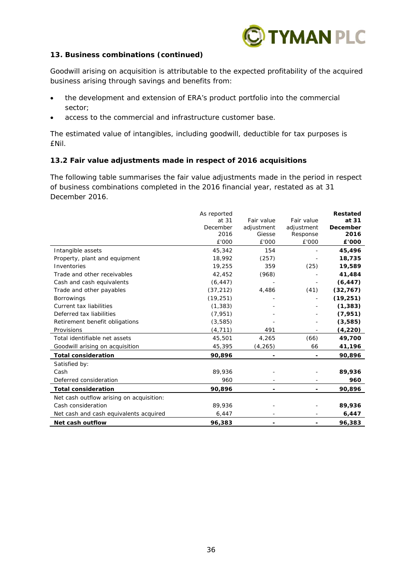

## **13. Business combinations (continued)**

Goodwill arising on acquisition is attributable to the expected profitability of the acquired business arising through savings and benefits from:

- the development and extension of ERA's product portfolio into the commercial sector;
- access to the commercial and infrastructure customer base.

The estimated value of intangibles, including goodwill, deductible for tax purposes is £Nil.

## **13.2 Fair value adjustments made in respect of 2016 acquisitions**

The following table summarises the fair value adjustments made in the period in respect of business combinations completed in the 2016 financial year, restated as at 31 December 2016.

|                                          | As reported |            |            | <b>Restated</b> |
|------------------------------------------|-------------|------------|------------|-----------------|
|                                          | at 31       | Fair value | Fair value | at 31           |
|                                          | December    | adjustment | adjustment | December        |
|                                          | 2016        | Giesse     | Response   | 2016            |
|                                          | £'000       | £'000      | £'000      | £'000           |
| Intangible assets                        | 45,342      | 154        |            | 45,496          |
| Property, plant and equipment            | 18,992      | (257)      |            | 18,735          |
| Inventories                              | 19,255      | 359        | (25)       | 19,589          |
| Trade and other receivables              | 42,452      | (968)      |            | 41,484          |
| Cash and cash equivalents                | (6, 447)    |            |            | (6, 447)        |
| Trade and other payables                 | (37, 212)   | 4,486      | (41)       | (32, 767)       |
| <b>Borrowings</b>                        | (19, 251)   |            |            | (19, 251)       |
| Current tax liabilities                  | (1, 383)    |            |            | (1, 383)        |
| Deferred tax liabilities                 | (7, 951)    |            |            | (7, 951)        |
| Retirement benefit obligations           | (3, 585)    |            |            | (3,585)         |
| Provisions                               | (4, 711)    | 491        |            | (4, 220)        |
| Total identifiable net assets            | 45,501      | 4,265      | (66)       | 49,700          |
| Goodwill arising on acquisition          | 45,395      | (4, 265)   | 66         | 41,196          |
| <b>Total consideration</b>               | 90,896      |            |            | 90,896          |
| Satisfied by:                            |             |            |            |                 |
| Cash                                     | 89,936      |            |            | 89,936          |
| Deferred consideration                   | 960         |            |            | 960             |
| <b>Total consideration</b>               | 90,896      |            |            | 90,896          |
| Net cash outflow arising on acquisition: |             |            |            |                 |
| Cash consideration                       | 89,936      |            |            | 89,936          |
| Net cash and cash equivalents acquired   | 6,447       |            |            | 6,447           |
| Net cash outflow                         | 96.383      |            |            | 96,383          |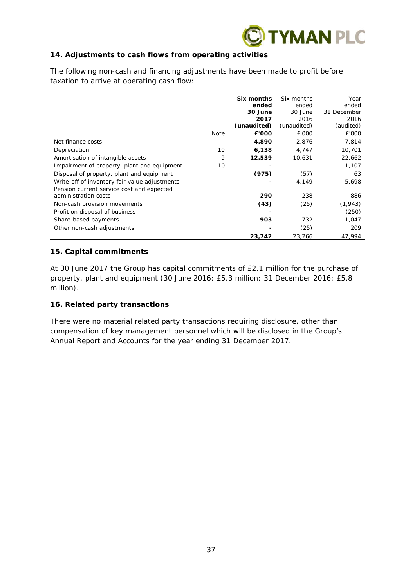

# **14. Adjustments to cash flows from operating activities**

The following non-cash and financing adjustments have been made to profit before taxation to arrive at operating cash flow:

|                                               |             | Six months  | Six months  | Year        |
|-----------------------------------------------|-------------|-------------|-------------|-------------|
|                                               |             | ended       | ended       | ended       |
|                                               |             | 30 June     | 30 June     | 31 December |
|                                               |             | 2017        | 2016        | 2016        |
|                                               |             | (unaudited) | (unaudited) | (audited)   |
|                                               | <b>Note</b> | £'000       | £'000       | £'000       |
| Net finance costs                             |             | 4,890       | 2,876       | 7,814       |
| Depreciation                                  | 10          | 6,138       | 4,747       | 10,701      |
| Amortisation of intangible assets             | 9           | 12,539      | 10,631      | 22,662      |
| Impairment of property, plant and equipment   | 10          |             |             | 1,107       |
| Disposal of property, plant and equipment     |             | (975)       | (57)        | 63          |
| Write-off of inventory fair value adjustments |             |             | 4,149       | 5,698       |
| Pension current service cost and expected     |             |             |             |             |
| administration costs                          |             | 290         | 238         | 886         |
| Non-cash provision movements                  |             | (43)        | (25)        | (1, 943)    |
| Profit on disposal of business                |             |             |             | (250)       |
| Share-based payments                          |             | 903         | 732         | 1,047       |
| Other non-cash adjustments                    |             |             | (25)        | 209         |
|                                               |             | 23,742      | 23,266      | 47,994      |

## **15. Capital commitments**

At 30 June 2017 the Group has capital commitments of £2.1 million for the purchase of property, plant and equipment (30 June 2016: £5.3 million; 31 December 2016: £5.8 million).

## **16. Related party transactions**

There were no material related party transactions requiring disclosure, other than compensation of key management personnel which will be disclosed in the Group's Annual Report and Accounts for the year ending 31 December 2017.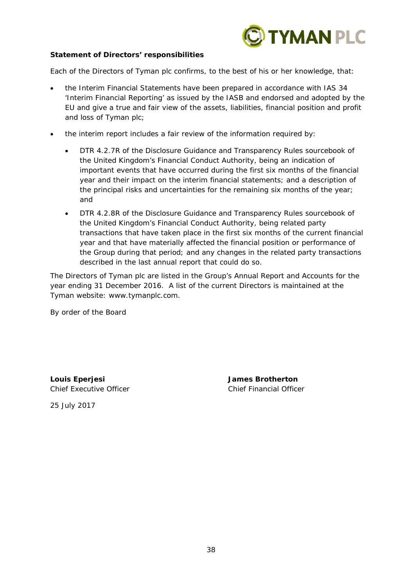

## **Statement of Directors' responsibilities**

Each of the Directors of Tyman plc confirms, to the best of his or her knowledge, that:

- the Interim Financial Statements have been prepared in accordance with IAS 34 'Interim Financial Reporting' as issued by the IASB and endorsed and adopted by the EU and give a true and fair view of the assets, liabilities, financial position and profit and loss of Tyman plc;
- the interim report includes a fair review of the information required by:
	- DTR 4.2.7R of the Disclosure Guidance and Transparency Rules sourcebook of the United Kingdom's Financial Conduct Authority, being an indication of important events that have occurred during the first six months of the financial year and their impact on the interim financial statements; and a description of the principal risks and uncertainties for the remaining six months of the year; and
	- DTR 4.2.8R of the Disclosure Guidance and Transparency Rules sourcebook of the United Kingdom's Financial Conduct Authority, being related party transactions that have taken place in the first six months of the current financial year and that have materially affected the financial position or performance of the Group during that period; and any changes in the related party transactions described in the last annual report that could do so.

The Directors of Tyman plc are listed in the Group's Annual Report and Accounts for the year ending 31 December 2016. A list of the current Directors is maintained at the Tyman website: www.tymanplc.com.

By order of the Board

**Louis Eperjesi James Brotherton**  Chief Executive Officer Chief Financial Officer

25 July 2017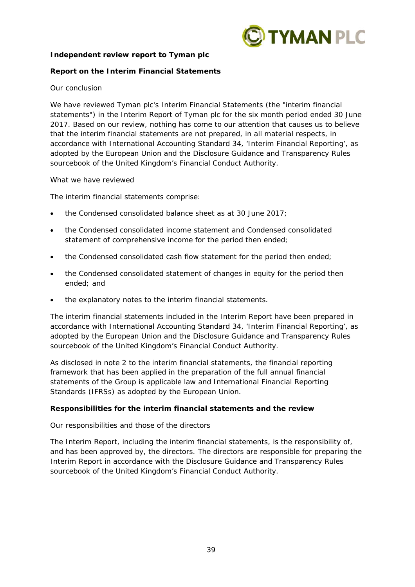

## **Independent review report to Tyman plc**

## **Report on the Interim Financial Statements**

## *Our conclusion*

We have reviewed Tyman plc's Interim Financial Statements (the "interim financial statements") in the Interim Report of Tyman plc for the six month period ended 30 June 2017. Based on our review, nothing has come to our attention that causes us to believe that the interim financial statements are not prepared, in all material respects, in accordance with International Accounting Standard 34, 'Interim Financial Reporting', as adopted by the European Union and the Disclosure Guidance and Transparency Rules sourcebook of the United Kingdom's Financial Conduct Authority.

## *What we have reviewed*

The interim financial statements comprise:

- the Condensed consolidated balance sheet as at 30 June 2017;
- the Condensed consolidated income statement and Condensed consolidated statement of comprehensive income for the period then ended;
- the Condensed consolidated cash flow statement for the period then ended;
- the Condensed consolidated statement of changes in equity for the period then ended; and
- the explanatory notes to the interim financial statements.

The interim financial statements included in the Interim Report have been prepared in accordance with International Accounting Standard 34, 'Interim Financial Reporting', as adopted by the European Union and the Disclosure Guidance and Transparency Rules sourcebook of the United Kingdom's Financial Conduct Authority.

As disclosed in note 2 to the interim financial statements, the financial reporting framework that has been applied in the preparation of the full annual financial statements of the Group is applicable law and International Financial Reporting Standards (IFRSs) as adopted by the European Union.

## **Responsibilities for the interim financial statements and the review**

## *Our responsibilities and those of the directors*

The Interim Report, including the interim financial statements, is the responsibility of, and has been approved by, the directors. The directors are responsible for preparing the Interim Report in accordance with the Disclosure Guidance and Transparency Rules sourcebook of the United Kingdom's Financial Conduct Authority.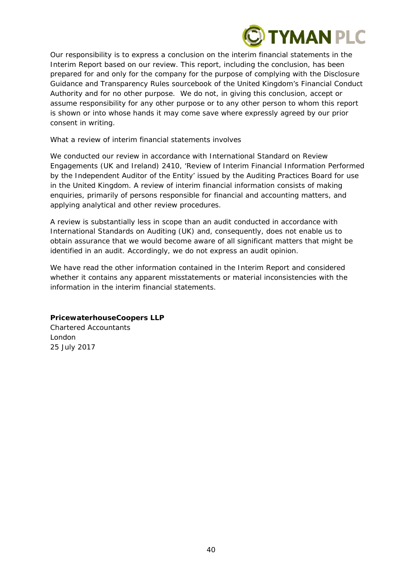

Our responsibility is to express a conclusion on the interim financial statements in the Interim Report based on our review. This report, including the conclusion, has been prepared for and only for the company for the purpose of complying with the Disclosure Guidance and Transparency Rules sourcebook of the United Kingdom's Financial Conduct Authority and for no other purpose. We do not, in giving this conclusion, accept or assume responsibility for any other purpose or to any other person to whom this report is shown or into whose hands it may come save where expressly agreed by our prior consent in writing.

## *What a review of interim financial statements involves*

We conducted our review in accordance with International Standard on Review Engagements (UK and Ireland) 2410, 'Review of Interim Financial Information Performed by the Independent Auditor of the Entity' issued by the Auditing Practices Board for use in the United Kingdom. A review of interim financial information consists of making enquiries, primarily of persons responsible for financial and accounting matters, and applying analytical and other review procedures.

A review is substantially less in scope than an audit conducted in accordance with International Standards on Auditing (UK) and, consequently, does not enable us to obtain assurance that we would become aware of all significant matters that might be identified in an audit. Accordingly, we do not express an audit opinion.

We have read the other information contained in the Interim Report and considered whether it contains any apparent misstatements or material inconsistencies with the information in the interim financial statements.

# **PricewaterhouseCoopers LLP**

Chartered Accountants London 25 July 2017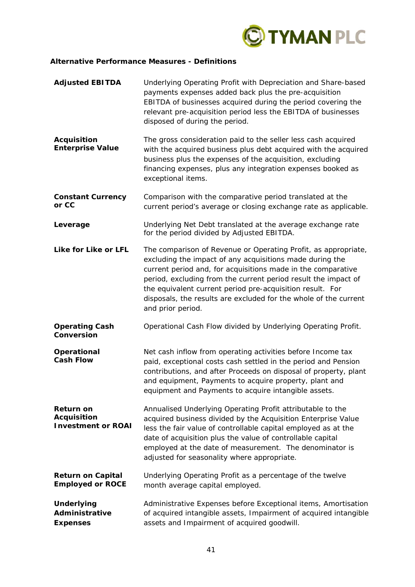

## **Alternative Performance Measures - Definitions**

| <b>Adjusted EBITDA</b>                                              | Underlying Operating Profit with Depreciation and Share-based<br>payments expenses added back plus the pre-acquisition<br>EBITDA of businesses acquired during the period covering the<br>relevant pre-acquisition period less the EBITDA of businesses<br>disposed of during the period.                                                                                                                          |
|---------------------------------------------------------------------|--------------------------------------------------------------------------------------------------------------------------------------------------------------------------------------------------------------------------------------------------------------------------------------------------------------------------------------------------------------------------------------------------------------------|
| <b>Acquisition</b><br><b>Enterprise Value</b>                       | The gross consideration paid to the seller less cash acquired<br>with the acquired business plus debt acquired with the acquired<br>business plus the expenses of the acquisition, excluding<br>financing expenses, plus any integration expenses booked as<br>exceptional items.                                                                                                                                  |
| <b>Constant Currency</b><br>or CC                                   | Comparison with the comparative period translated at the<br>current period's average or closing exchange rate as applicable.                                                                                                                                                                                                                                                                                       |
| Leverage                                                            | Underlying Net Debt translated at the average exchange rate<br>for the period divided by Adjusted EBITDA.                                                                                                                                                                                                                                                                                                          |
| Like for Like or LFL                                                | The comparison of Revenue or Operating Profit, as appropriate,<br>excluding the impact of any acquisitions made during the<br>current period and, for acquisitions made in the comparative<br>period, excluding from the current period result the impact of<br>the equivalent current period pre-acquisition result. For<br>disposals, the results are excluded for the whole of the current<br>and prior period. |
| <b>Operating Cash</b><br>Conversion                                 | Operational Cash Flow divided by Underlying Operating Profit.                                                                                                                                                                                                                                                                                                                                                      |
| Operational<br><b>Cash Flow</b>                                     | Net cash inflow from operating activities before Income tax<br>paid, exceptional costs cash settled in the period and Pension<br>contributions, and after Proceeds on disposal of property, plant<br>and equipment, Payments to acquire property, plant and<br>equipment and Payments to acquire intangible assets.                                                                                                |
| <b>Return on</b><br><b>Acquisition</b><br><b>Investment or ROAI</b> | Annualised Underlying Operating Profit attributable to the<br>acquired business divided by the Acquisition Enterprise Value<br>less the fair value of controllable capital employed as at the<br>date of acquisition plus the value of controllable capital<br>employed at the date of measurement. The denominator is<br>adjusted for seasonality where appropriate.                                              |
| <b>Return on Capital</b><br><b>Employed or ROCE</b>                 | Underlying Operating Profit as a percentage of the twelve<br>month average capital employed.                                                                                                                                                                                                                                                                                                                       |
| <b>Underlying</b><br>Administrative<br><b>Expenses</b>              | Administrative Expenses before Exceptional items, Amortisation<br>of acquired intangible assets, Impairment of acquired intangible<br>assets and Impairment of acquired goodwill.                                                                                                                                                                                                                                  |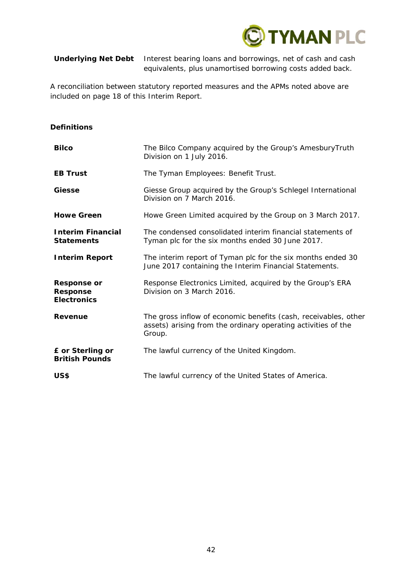

**Underlying Net Debt** Interest bearing loans and borrowings, net of cash and cash equivalents, plus unamortised borrowing costs added back.

A reconciliation between statutory reported measures and the APMs noted above are included on page 18 of this Interim Report.

| <b>Bilco</b>                                                | The Bilco Company acquired by the Group's AmesburyTruth<br>Division on 1 July 2016.                                                        |
|-------------------------------------------------------------|--------------------------------------------------------------------------------------------------------------------------------------------|
| <b>EB Trust</b>                                             | The Tyman Employees: Benefit Trust.                                                                                                        |
| Giesse                                                      | Giesse Group acquired by the Group's Schlegel International<br>Division on 7 March 2016.                                                   |
| <b>Howe Green</b>                                           | Howe Green Limited acquired by the Group on 3 March 2017.                                                                                  |
| <b>Interim Financial</b><br><b>Statements</b>               | The condensed consolidated interim financial statements of<br>Tyman plc for the six months ended 30 June 2017.                             |
| <b>Interim Report</b>                                       | The interim report of Tyman plc for the six months ended 30<br>June 2017 containing the Interim Financial Statements.                      |
| <b>Response or</b><br><b>Response</b><br><b>Electronics</b> | Response Electronics Limited, acquired by the Group's ERA<br>Division on 3 March 2016.                                                     |
| <b>Revenue</b>                                              | The gross inflow of economic benefits (cash, receivables, other<br>assets) arising from the ordinary operating activities of the<br>Group. |
| £ or Sterling or<br><b>British Pounds</b>                   | The lawful currency of the United Kingdom.                                                                                                 |
| US\$                                                        | The lawful currency of the United States of America.                                                                                       |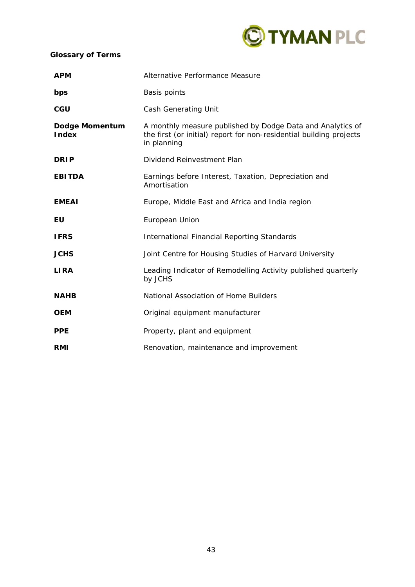

# **Glossary of Terms**

| <b>APM</b>                     | Alternative Performance Measure                                                                                                                  |
|--------------------------------|--------------------------------------------------------------------------------------------------------------------------------------------------|
| bps                            | <b>Basis points</b>                                                                                                                              |
| <b>CGU</b>                     | <b>Cash Generating Unit</b>                                                                                                                      |
| Dodge Momentum<br><b>Index</b> | A monthly measure published by Dodge Data and Analytics of<br>the first (or initial) report for non-residential building projects<br>in planning |
| <b>DRIP</b>                    | Dividend Reinvestment Plan                                                                                                                       |
| <b>EBITDA</b>                  | Earnings before Interest, Taxation, Depreciation and<br>Amortisation                                                                             |
| <b>EMEAI</b>                   | Europe, Middle East and Africa and India region                                                                                                  |
| EU                             | European Union                                                                                                                                   |
| <b>IFRS</b>                    | <b>International Financial Reporting Standards</b>                                                                                               |
| <b>JCHS</b>                    | Joint Centre for Housing Studies of Harvard University                                                                                           |
| <b>LIRA</b>                    | Leading Indicator of Remodelling Activity published quarterly<br>by JCHS                                                                         |
| <b>NAHB</b>                    | National Association of Home Builders                                                                                                            |
| <b>OEM</b>                     | Original equipment manufacturer                                                                                                                  |
| <b>PPE</b>                     | Property, plant and equipment                                                                                                                    |
| RMI                            | Renovation, maintenance and improvement                                                                                                          |